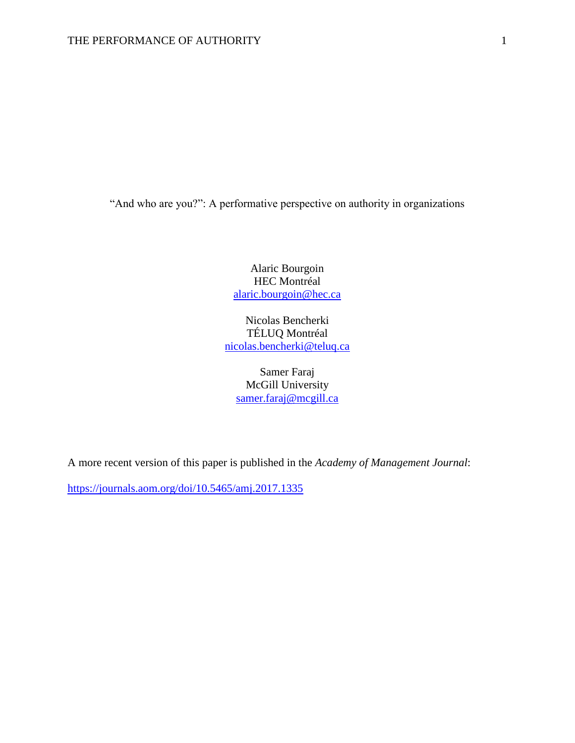"And who are you?": A performative perspective on authority in organizations

Alaric Bourgoin HEC Montréal [alaric.bourgoin@hec.ca](mailto:alaric.bourgoin@hec.ca)

Nicolas Bencherki TÉLUQ Montréal [nicolas.bencherki@teluq.ca](mailto:nicolas.bencherki@teluq.ca)

Samer Faraj McGill University [samer.faraj@mcgill.ca](mailto:samer.faraj@mcgill.ca)

A more recent version of this paper is published in the *Academy of Management Journal*:

<https://journals.aom.org/doi/10.5465/amj.2017.1335>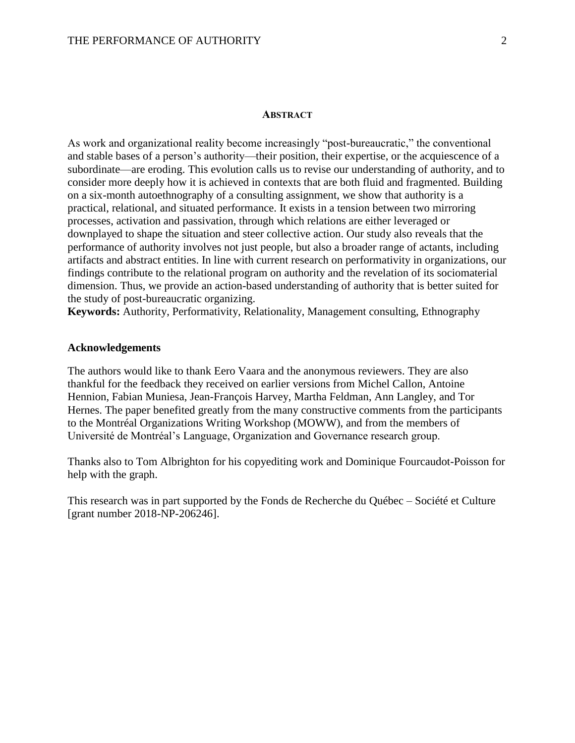#### **ABSTRACT**

As work and organizational reality become increasingly "post-bureaucratic," the conventional and stable bases of a person's authority—their position, their expertise, or the acquiescence of a subordinate—are eroding. This evolution calls us to revise our understanding of authority, and to consider more deeply how it is achieved in contexts that are both fluid and fragmented. Building on a six-month autoethnography of a consulting assignment, we show that authority is a practical, relational, and situated performance. It exists in a tension between two mirroring processes, activation and passivation, through which relations are either leveraged or downplayed to shape the situation and steer collective action. Our study also reveals that the performance of authority involves not just people, but also a broader range of actants, including artifacts and abstract entities. In line with current research on performativity in organizations, our findings contribute to the relational program on authority and the revelation of its sociomaterial dimension. Thus, we provide an action-based understanding of authority that is better suited for the study of post-bureaucratic organizing.

**Keywords:** Authority, Performativity, Relationality, Management consulting, Ethnography

## **Acknowledgements**

The authors would like to thank Eero Vaara and the anonymous reviewers. They are also thankful for the feedback they received on earlier versions from Michel Callon, Antoine Hennion, Fabian Muniesa, Jean-François Harvey, Martha Feldman, Ann Langley, and Tor Hernes. The paper benefited greatly from the many constructive comments from the participants to the Montréal Organizations Writing Workshop (MOWW), and from the members of Université de Montréal's Language, Organization and Governance research group.

Thanks also to Tom Albrighton for his copyediting work and Dominique Fourcaudot-Poisson for help with the graph.

This research was in part supported by the Fonds de Recherche du Québec – Société et Culture [grant number 2018-NP-206246].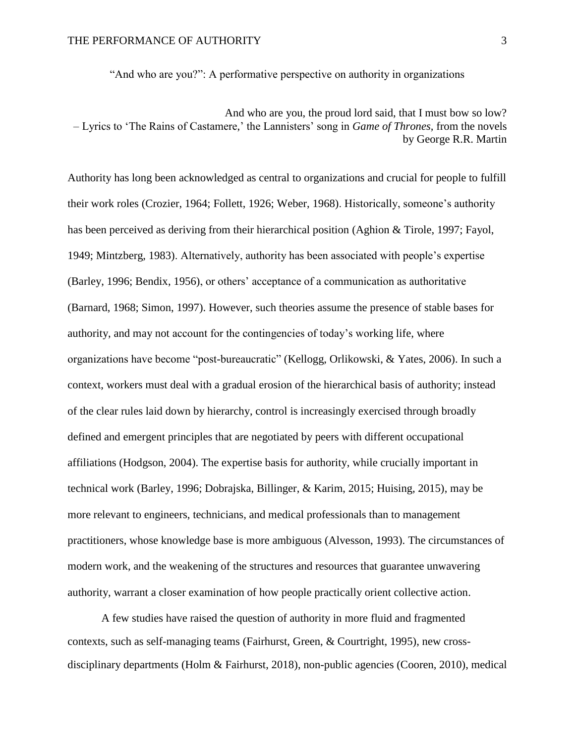"And who are you?": A performative perspective on authority in organizations

And who are you, the proud lord said, that I must bow so low? – Lyrics to 'The Rains of Castamere,' the Lannisters' song in *Game of Thrones,* from the novels by George R.R. Martin

Authority has long been acknowledged as central to organizations and crucial for people to fulfill their work roles (Crozier, 1964; Follett, 1926; Weber, 1968). Historically, someone's authority has been perceived as deriving from their hierarchical position (Aghion & Tirole, 1997; Fayol, 1949; Mintzberg, 1983). Alternatively, authority has been associated with people's expertise (Barley, 1996; Bendix, 1956), or others' acceptance of a communication as authoritative (Barnard, 1968; Simon, 1997). However, such theories assume the presence of stable bases for authority, and may not account for the contingencies of today's working life, where organizations have become "post-bureaucratic" (Kellogg, Orlikowski, & Yates, 2006). In such a context, workers must deal with a gradual erosion of the hierarchical basis of authority; instead of the clear rules laid down by hierarchy, control is increasingly exercised through broadly defined and emergent principles that are negotiated by peers with different occupational affiliations (Hodgson, 2004). The expertise basis for authority, while crucially important in technical work (Barley, 1996; Dobrajska, Billinger, & Karim, 2015; Huising, 2015), may be more relevant to engineers, technicians, and medical professionals than to management practitioners, whose knowledge base is more ambiguous (Alvesson, 1993). The circumstances of modern work, and the weakening of the structures and resources that guarantee unwavering authority, warrant a closer examination of how people practically orient collective action.

A few studies have raised the question of authority in more fluid and fragmented contexts, such as self-managing teams (Fairhurst, Green, & Courtright, 1995), new crossdisciplinary departments (Holm & Fairhurst, 2018), non-public agencies (Cooren, 2010), medical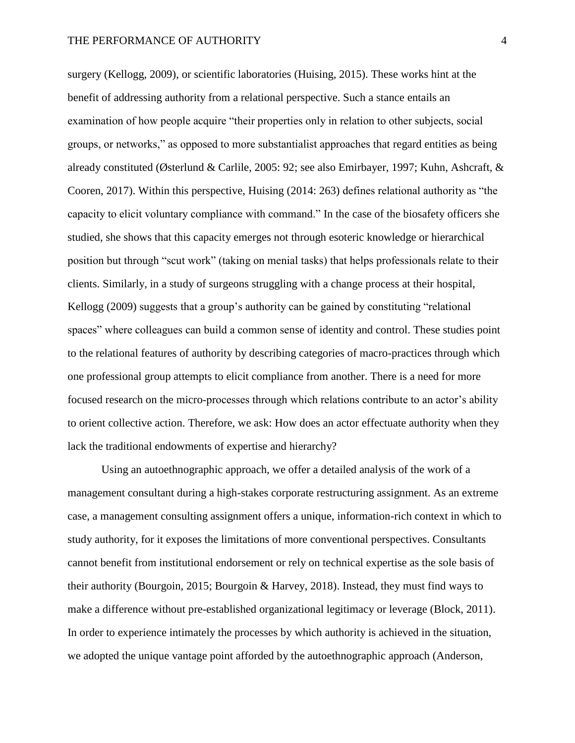surgery (Kellogg, 2009), or scientific laboratories (Huising, 2015). These works hint at the benefit of addressing authority from a relational perspective. Such a stance entails an examination of how people acquire "their properties only in relation to other subjects, social groups, or networks," as opposed to more substantialist approaches that regard entities as being already constituted (Østerlund & Carlile, 2005: 92; see also Emirbayer, 1997; Kuhn, Ashcraft, & Cooren, 2017). Within this perspective, Huising (2014: 263) defines relational authority as "the capacity to elicit voluntary compliance with command." In the case of the biosafety officers she studied, she shows that this capacity emerges not through esoteric knowledge or hierarchical position but through "scut work" (taking on menial tasks) that helps professionals relate to their clients. Similarly, in a study of surgeons struggling with a change process at their hospital, Kellogg (2009) suggests that a group's authority can be gained by constituting "relational spaces" where colleagues can build a common sense of identity and control. These studies point to the relational features of authority by describing categories of macro-practices through which one professional group attempts to elicit compliance from another. There is a need for more focused research on the micro-processes through which relations contribute to an actor's ability to orient collective action. Therefore, we ask: How does an actor effectuate authority when they lack the traditional endowments of expertise and hierarchy?

Using an autoethnographic approach, we offer a detailed analysis of the work of a management consultant during a high-stakes corporate restructuring assignment. As an extreme case, a management consulting assignment offers a unique, information-rich context in which to study authority, for it exposes the limitations of more conventional perspectives. Consultants cannot benefit from institutional endorsement or rely on technical expertise as the sole basis of their authority (Bourgoin, 2015; Bourgoin & Harvey, 2018). Instead, they must find ways to make a difference without pre-established organizational legitimacy or leverage (Block, 2011). In order to experience intimately the processes by which authority is achieved in the situation, we adopted the unique vantage point afforded by the autoethnographic approach (Anderson,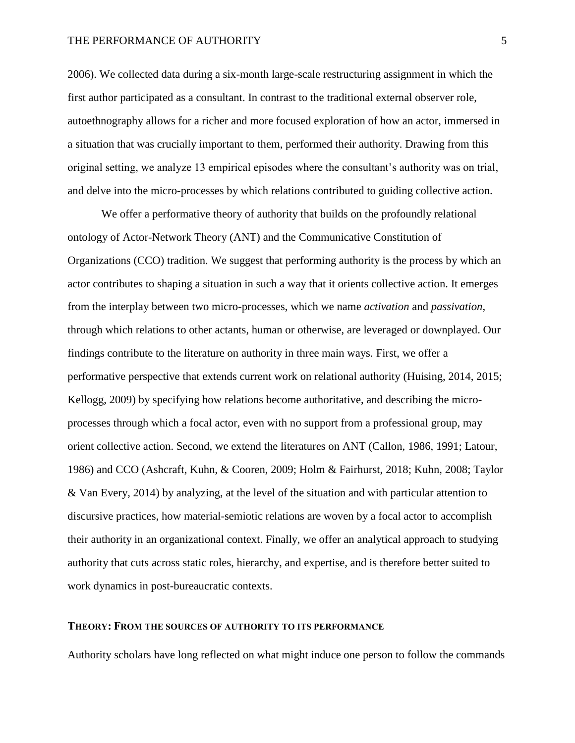2006). We collected data during a six-month large-scale restructuring assignment in which the first author participated as a consultant. In contrast to the traditional external observer role, autoethnography allows for a richer and more focused exploration of how an actor, immersed in a situation that was crucially important to them, performed their authority. Drawing from this original setting, we analyze 13 empirical episodes where the consultant's authority was on trial, and delve into the micro-processes by which relations contributed to guiding collective action.

We offer a performative theory of authority that builds on the profoundly relational ontology of Actor-Network Theory (ANT) and the Communicative Constitution of Organizations (CCO) tradition. We suggest that performing authority is the process by which an actor contributes to shaping a situation in such a way that it orients collective action. It emerges from the interplay between two micro-processes, which we name *activation* and *passivation,* through which relations to other actants, human or otherwise, are leveraged or downplayed. Our findings contribute to the literature on authority in three main ways. First, we offer a performative perspective that extends current work on relational authority (Huising, 2014, 2015; Kellogg, 2009) by specifying how relations become authoritative, and describing the microprocesses through which a focal actor, even with no support from a professional group, may orient collective action. Second, we extend the literatures on ANT (Callon, 1986, 1991; Latour, 1986) and CCO (Ashcraft, Kuhn, & Cooren, 2009; Holm & Fairhurst, 2018; Kuhn, 2008; Taylor & Van Every, 2014) by analyzing, at the level of the situation and with particular attention to discursive practices, how material-semiotic relations are woven by a focal actor to accomplish their authority in an organizational context. Finally, we offer an analytical approach to studying authority that cuts across static roles, hierarchy, and expertise, and is therefore better suited to work dynamics in post-bureaucratic contexts.

## **THEORY: FROM THE SOURCES OF AUTHORITY TO ITS PERFORMANCE**

Authority scholars have long reflected on what might induce one person to follow the commands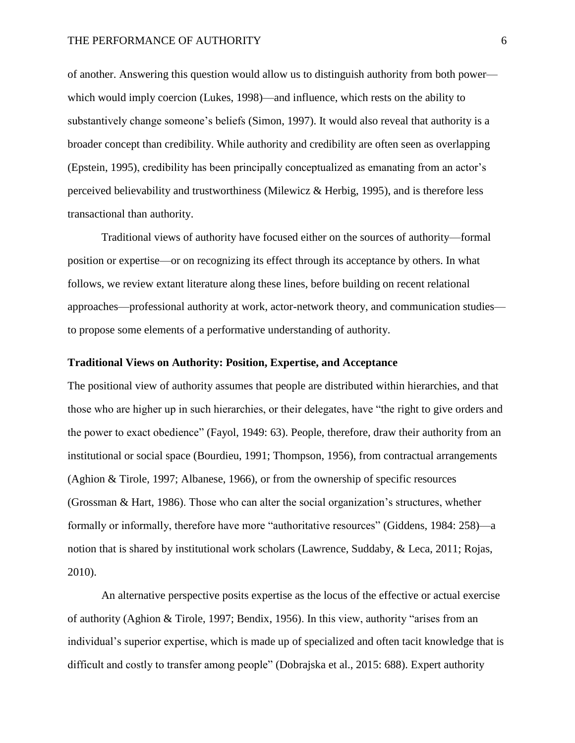of another. Answering this question would allow us to distinguish authority from both power which would imply coercion (Lukes, 1998)—and influence, which rests on the ability to substantively change someone's beliefs (Simon, 1997). It would also reveal that authority is a broader concept than credibility. While authority and credibility are often seen as overlapping (Epstein, 1995), credibility has been principally conceptualized as emanating from an actor's perceived believability and trustworthiness (Milewicz & Herbig, 1995), and is therefore less transactional than authority.

Traditional views of authority have focused either on the sources of authority—formal position or expertise—or on recognizing its effect through its acceptance by others. In what follows, we review extant literature along these lines, before building on recent relational approaches—professional authority at work, actor-network theory, and communication studies to propose some elements of a performative understanding of authority.

## **Traditional Views on Authority: Position, Expertise, and Acceptance**

The positional view of authority assumes that people are distributed within hierarchies, and that those who are higher up in such hierarchies, or their delegates, have "the right to give orders and the power to exact obedience" (Fayol, 1949: 63). People, therefore, draw their authority from an institutional or social space (Bourdieu, 1991; Thompson, 1956), from contractual arrangements (Aghion & Tirole, 1997; Albanese, 1966), or from the ownership of specific resources (Grossman & Hart, 1986). Those who can alter the social organization's structures, whether formally or informally, therefore have more "authoritative resources" (Giddens, 1984: 258)—a notion that is shared by institutional work scholars (Lawrence, Suddaby, & Leca, 2011; Rojas, 2010).

An alternative perspective posits expertise as the locus of the effective or actual exercise of authority (Aghion & Tirole, 1997; Bendix, 1956). In this view, authority "arises from an individual's superior expertise, which is made up of specialized and often tacit knowledge that is difficult and costly to transfer among people" (Dobrajska et al., 2015: 688). Expert authority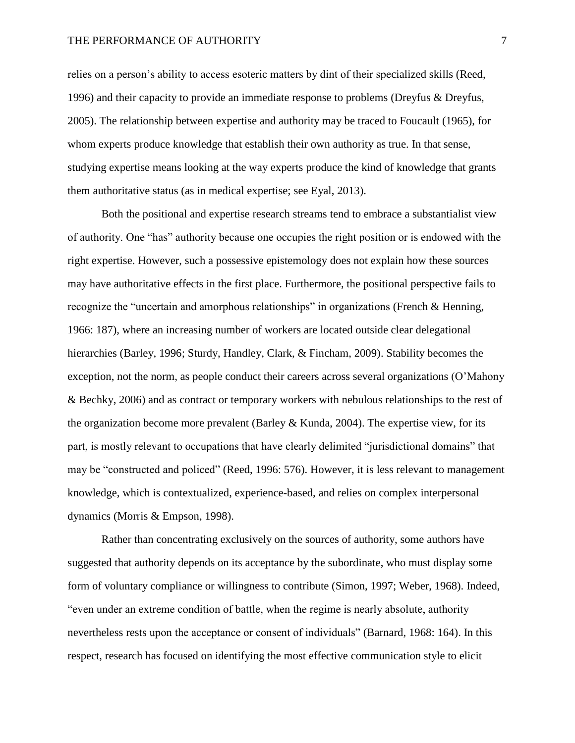relies on a person's ability to access esoteric matters by dint of their specialized skills (Reed, 1996) and their capacity to provide an immediate response to problems (Dreyfus & Dreyfus, 2005). The relationship between expertise and authority may be traced to Foucault (1965), for whom experts produce knowledge that establish their own authority as true. In that sense, studying expertise means looking at the way experts produce the kind of knowledge that grants them authoritative status (as in medical expertise; see Eyal, 2013).

Both the positional and expertise research streams tend to embrace a substantialist view of authority. One "has" authority because one occupies the right position or is endowed with the right expertise. However, such a possessive epistemology does not explain how these sources may have authoritative effects in the first place. Furthermore, the positional perspective fails to recognize the "uncertain and amorphous relationships" in organizations (French & Henning, 1966: 187), where an increasing number of workers are located outside clear delegational hierarchies (Barley, 1996; Sturdy, Handley, Clark, & Fincham, 2009). Stability becomes the exception, not the norm, as people conduct their careers across several organizations (O'Mahony & Bechky, 2006) and as contract or temporary workers with nebulous relationships to the rest of the organization become more prevalent (Barley & Kunda, 2004). The expertise view, for its part, is mostly relevant to occupations that have clearly delimited "jurisdictional domains" that may be "constructed and policed" (Reed, 1996: 576). However, it is less relevant to management knowledge, which is contextualized, experience-based, and relies on complex interpersonal dynamics (Morris & Empson, 1998).

Rather than concentrating exclusively on the sources of authority, some authors have suggested that authority depends on its acceptance by the subordinate, who must display some form of voluntary compliance or willingness to contribute (Simon, 1997; Weber, 1968). Indeed, "even under an extreme condition of battle, when the regime is nearly absolute, authority nevertheless rests upon the acceptance or consent of individuals" (Barnard, 1968: 164). In this respect, research has focused on identifying the most effective communication style to elicit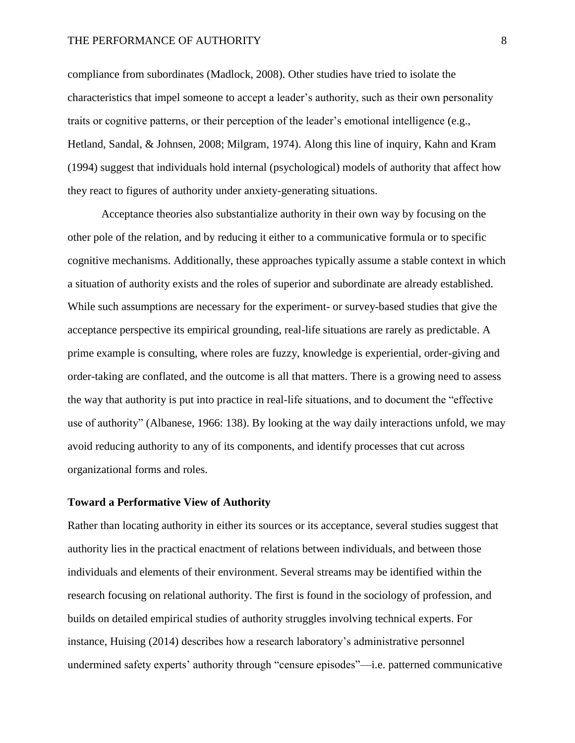compliance from subordinates (Madlock, 2008). Other studies have tried to isolate the characteristics that impel someone to accept a leader's authority, such as their own personality traits or cognitive patterns, or their perception of the leader's emotional intelligence (e.g., Hetland, Sandal, & Johnsen, 2008; Milgram, 1974). Along this line of inquiry, Kahn and Kram (1994) suggest that individuals hold internal (psychological) models of authority that affect how they react to figures of authority under anxiety-generating situations.

Acceptance theories also substantialize authority in their own way by focusing on the other pole of the relation, and by reducing it either to a communicative formula or to specific cognitive mechanisms. Additionally, these approaches typically assume a stable context in which a situation of authority exists and the roles of superior and subordinate are already established. While such assumptions are necessary for the experiment- or survey-based studies that give the acceptance perspective its empirical grounding, real-life situations are rarely as predictable. A prime example is consulting, where roles are fuzzy, knowledge is experiential, order-giving and order-taking are conflated, and the outcome is all that matters. There is a growing need to assess the way that authority is put into practice in real-life situations, and to document the "effective use of authority" (Albanese, 1966: 138). By looking at the way daily interactions unfold, we may avoid reducing authority to any of its components, and identify processes that cut across organizational forms and roles.

## **Toward a Performative View of Authority**

Rather than locating authority in either its sources or its acceptance, several studies suggest that authority lies in the practical enactment of relations between individuals, and between those individuals and elements of their environment. Several streams may be identified within the research focusing on relational authority. The first is found in the sociology of profession, and builds on detailed empirical studies of authority struggles involving technical experts. For instance, Huising (2014) describes how a research laboratory's administrative personnel undermined safety experts' authority through "censure episodes"—i.e. patterned communicative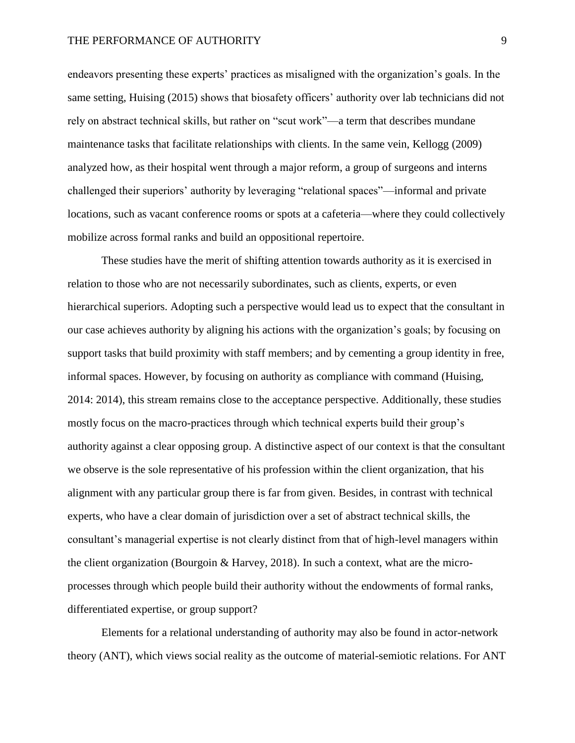endeavors presenting these experts' practices as misaligned with the organization's goals. In the same setting, Huising (2015) shows that biosafety officers' authority over lab technicians did not rely on abstract technical skills, but rather on "scut work"—a term that describes mundane maintenance tasks that facilitate relationships with clients. In the same vein, Kellogg (2009) analyzed how, as their hospital went through a major reform, a group of surgeons and interns challenged their superiors' authority by leveraging "relational spaces"—informal and private locations, such as vacant conference rooms or spots at a cafeteria—where they could collectively mobilize across formal ranks and build an oppositional repertoire.

These studies have the merit of shifting attention towards authority as it is exercised in relation to those who are not necessarily subordinates, such as clients, experts, or even hierarchical superiors. Adopting such a perspective would lead us to expect that the consultant in our case achieves authority by aligning his actions with the organization's goals; by focusing on support tasks that build proximity with staff members; and by cementing a group identity in free, informal spaces. However, by focusing on authority as compliance with command (Huising, 2014: 2014), this stream remains close to the acceptance perspective. Additionally, these studies mostly focus on the macro-practices through which technical experts build their group's authority against a clear opposing group. A distinctive aspect of our context is that the consultant we observe is the sole representative of his profession within the client organization, that his alignment with any particular group there is far from given. Besides, in contrast with technical experts, who have a clear domain of jurisdiction over a set of abstract technical skills, the consultant's managerial expertise is not clearly distinct from that of high-level managers within the client organization (Bourgoin  $&$  Harvey, 2018). In such a context, what are the microprocesses through which people build their authority without the endowments of formal ranks, differentiated expertise, or group support?

Elements for a relational understanding of authority may also be found in actor-network theory (ANT), which views social reality as the outcome of material-semiotic relations. For ANT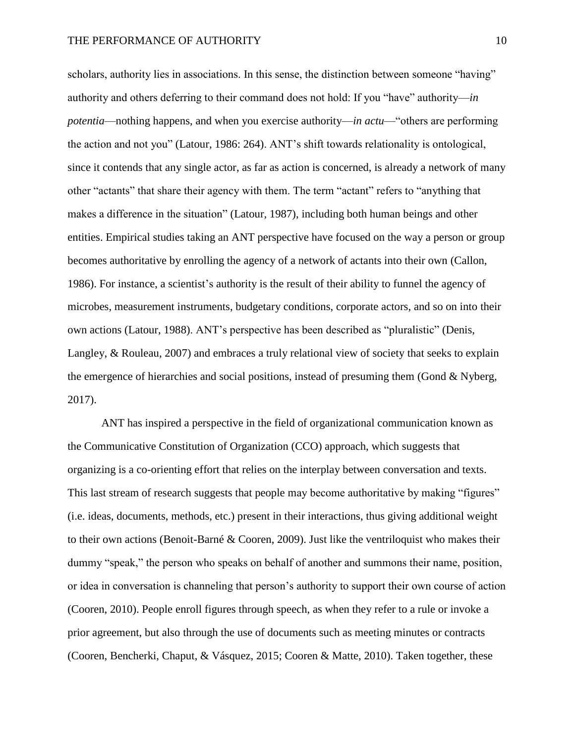scholars, authority lies in associations. In this sense, the distinction between someone "having" authority and others deferring to their command does not hold: If you "have" authority—*in potentia*—nothing happens, and when you exercise authority—*in actu*—"others are performing the action and not you" (Latour, 1986: 264). ANT's shift towards relationality is ontological, since it contends that any single actor, as far as action is concerned, is already a network of many other "actants" that share their agency with them. The term "actant" refers to "anything that makes a difference in the situation" (Latour, 1987), including both human beings and other entities. Empirical studies taking an ANT perspective have focused on the way a person or group becomes authoritative by enrolling the agency of a network of actants into their own (Callon, 1986). For instance, a scientist's authority is the result of their ability to funnel the agency of microbes, measurement instruments, budgetary conditions, corporate actors, and so on into their own actions (Latour, 1988). ANT's perspective has been described as "pluralistic" (Denis, Langley, & Rouleau, 2007) and embraces a truly relational view of society that seeks to explain the emergence of hierarchies and social positions, instead of presuming them (Gond & Nyberg, 2017).

ANT has inspired a perspective in the field of organizational communication known as the Communicative Constitution of Organization (CCO) approach, which suggests that organizing is a co-orienting effort that relies on the interplay between conversation and texts. This last stream of research suggests that people may become authoritative by making "figures" (i.e. ideas, documents, methods, etc.) present in their interactions, thus giving additional weight to their own actions (Benoit-Barné & Cooren, 2009). Just like the ventriloquist who makes their dummy "speak," the person who speaks on behalf of another and summons their name, position, or idea in conversation is channeling that person's authority to support their own course of action (Cooren, 2010). People enroll figures through speech, as when they refer to a rule or invoke a prior agreement, but also through the use of documents such as meeting minutes or contracts (Cooren, Bencherki, Chaput, & Vásquez, 2015; Cooren & Matte, 2010). Taken together, these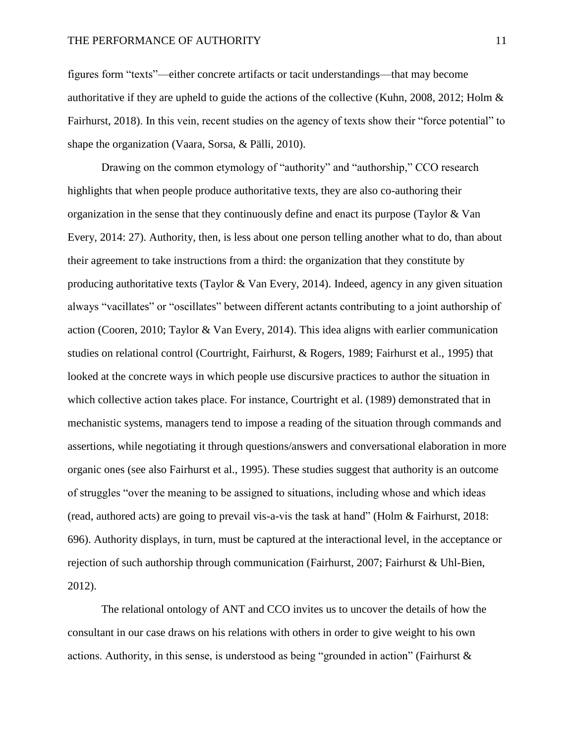figures form "texts"—either concrete artifacts or tacit understandings—that may become authoritative if they are upheld to guide the actions of the collective (Kuhn, 2008, 2012; Holm & Fairhurst, 2018). In this vein, recent studies on the agency of texts show their "force potential" to shape the organization (Vaara, Sorsa, & Pälli, 2010).

Drawing on the common etymology of "authority" and "authorship," CCO research highlights that when people produce authoritative texts, they are also co-authoring their organization in the sense that they continuously define and enact its purpose (Taylor  $\&$  Van Every, 2014: 27). Authority, then, is less about one person telling another what to do, than about their agreement to take instructions from a third: the organization that they constitute by producing authoritative texts (Taylor & Van Every, 2014). Indeed, agency in any given situation always "vacillates" or "oscillates" between different actants contributing to a joint authorship of action (Cooren, 2010; Taylor & Van Every, 2014). This idea aligns with earlier communication studies on relational control (Courtright, Fairhurst, & Rogers, 1989; Fairhurst et al., 1995) that looked at the concrete ways in which people use discursive practices to author the situation in which collective action takes place. For instance, Courtright et al. (1989) demonstrated that in mechanistic systems, managers tend to impose a reading of the situation through commands and assertions, while negotiating it through questions/answers and conversational elaboration in more organic ones (see also Fairhurst et al., 1995). These studies suggest that authority is an outcome of struggles "over the meaning to be assigned to situations, including whose and which ideas (read, authored acts) are going to prevail vis-a-vis the task at hand" (Holm & Fairhurst, 2018: 696). Authority displays, in turn, must be captured at the interactional level, in the acceptance or rejection of such authorship through communication (Fairhurst, 2007; Fairhurst & Uhl-Bien, 2012).

The relational ontology of ANT and CCO invites us to uncover the details of how the consultant in our case draws on his relations with others in order to give weight to his own actions. Authority, in this sense, is understood as being "grounded in action" (Fairhurst  $\&$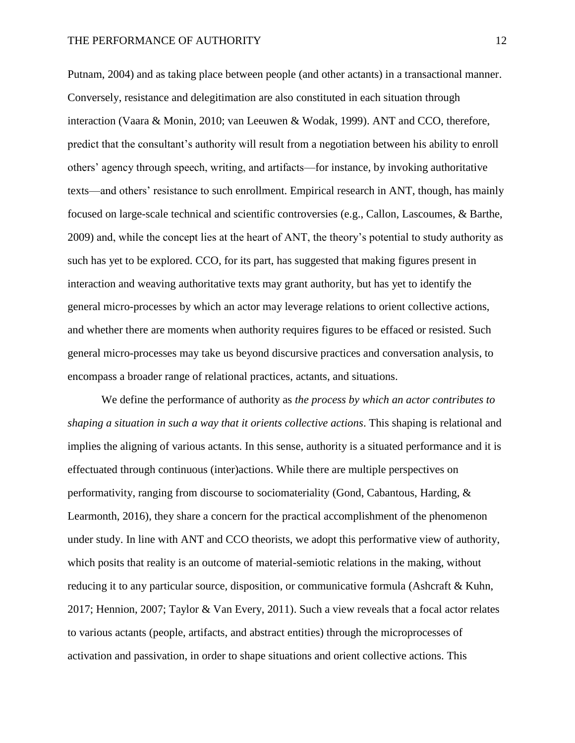Putnam, 2004) and as taking place between people (and other actants) in a transactional manner. Conversely, resistance and delegitimation are also constituted in each situation through interaction (Vaara & Monin, 2010; van Leeuwen & Wodak, 1999). ANT and CCO, therefore, predict that the consultant's authority will result from a negotiation between his ability to enroll others' agency through speech, writing, and artifacts—for instance, by invoking authoritative texts—and others' resistance to such enrollment. Empirical research in ANT, though, has mainly focused on large-scale technical and scientific controversies (e.g., Callon, Lascoumes, & Barthe, 2009) and, while the concept lies at the heart of ANT, the theory's potential to study authority as such has yet to be explored. CCO, for its part, has suggested that making figures present in interaction and weaving authoritative texts may grant authority, but has yet to identify the general micro-processes by which an actor may leverage relations to orient collective actions, and whether there are moments when authority requires figures to be effaced or resisted. Such general micro-processes may take us beyond discursive practices and conversation analysis, to encompass a broader range of relational practices, actants, and situations.

We define the performance of authority as *the process by which an actor contributes to shaping a situation in such a way that it orients collective actions*. This shaping is relational and implies the aligning of various actants. In this sense, authority is a situated performance and it is effectuated through continuous (inter)actions. While there are multiple perspectives on performativity, ranging from discourse to sociomateriality (Gond, Cabantous, Harding, & Learmonth, 2016), they share a concern for the practical accomplishment of the phenomenon under study. In line with ANT and CCO theorists, we adopt this performative view of authority, which posits that reality is an outcome of material-semiotic relations in the making, without reducing it to any particular source, disposition, or communicative formula (Ashcraft & Kuhn, 2017; Hennion, 2007; Taylor & Van Every, 2011). Such a view reveals that a focal actor relates to various actants (people, artifacts, and abstract entities) through the microprocesses of activation and passivation, in order to shape situations and orient collective actions. This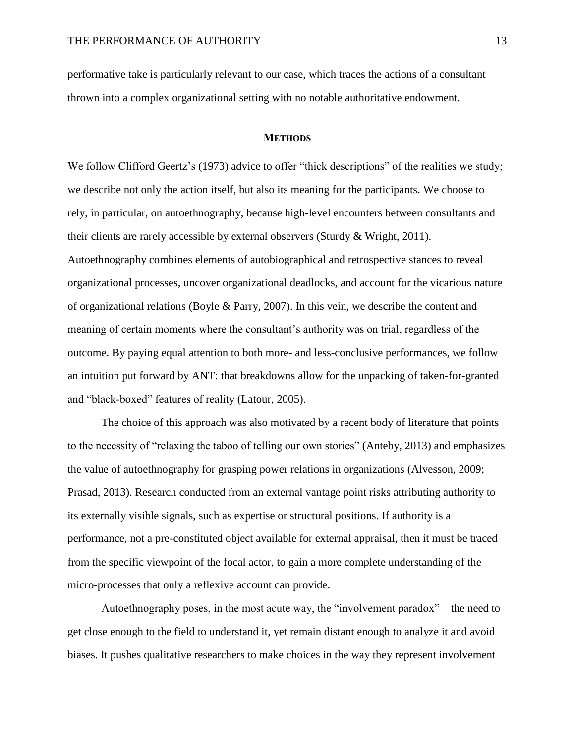performative take is particularly relevant to our case, which traces the actions of a consultant thrown into a complex organizational setting with no notable authoritative endowment.

#### **METHODS**

We follow Clifford Geertz's (1973) advice to offer "thick descriptions" of the realities we study; we describe not only the action itself, but also its meaning for the participants. We choose to rely, in particular, on autoethnography, because high-level encounters between consultants and their clients are rarely accessible by external observers (Sturdy & Wright, 2011). Autoethnography combines elements of autobiographical and retrospective stances to reveal organizational processes, uncover organizational deadlocks, and account for the vicarious nature of organizational relations (Boyle & Parry, 2007). In this vein, we describe the content and meaning of certain moments where the consultant's authority was on trial, regardless of the outcome. By paying equal attention to both more- and less-conclusive performances, we follow an intuition put forward by ANT: that breakdowns allow for the unpacking of taken-for-granted and "black-boxed" features of reality (Latour, 2005).

The choice of this approach was also motivated by a recent body of literature that points to the necessity of "relaxing the taboo of telling our own stories" (Anteby, 2013) and emphasizes the value of autoethnography for grasping power relations in organizations (Alvesson, 2009; Prasad, 2013). Research conducted from an external vantage point risks attributing authority to its externally visible signals, such as expertise or structural positions. If authority is a performance, not a pre-constituted object available for external appraisal, then it must be traced from the specific viewpoint of the focal actor, to gain a more complete understanding of the micro-processes that only a reflexive account can provide.

Autoethnography poses, in the most acute way, the "involvement paradox"—the need to get close enough to the field to understand it, yet remain distant enough to analyze it and avoid biases. It pushes qualitative researchers to make choices in the way they represent involvement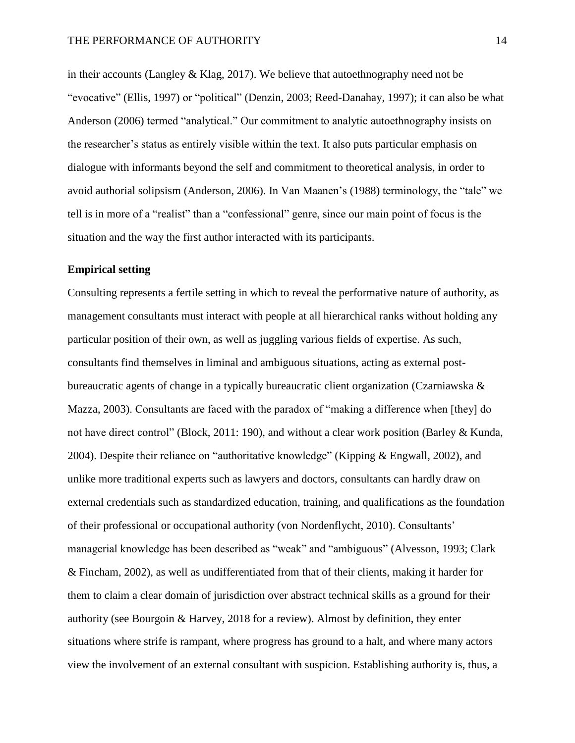in their accounts (Langley & Klag, 2017). We believe that autoethnography need not be "evocative" (Ellis, 1997) or "political" (Denzin, 2003; Reed-Danahay, 1997); it can also be what Anderson (2006) termed "analytical." Our commitment to analytic autoethnography insists on the researcher's status as entirely visible within the text. It also puts particular emphasis on dialogue with informants beyond the self and commitment to theoretical analysis, in order to avoid authorial solipsism (Anderson, 2006). In Van Maanen's (1988) terminology, the "tale" we tell is in more of a "realist" than a "confessional" genre, since our main point of focus is the situation and the way the first author interacted with its participants.

## **Empirical setting**

Consulting represents a fertile setting in which to reveal the performative nature of authority, as management consultants must interact with people at all hierarchical ranks without holding any particular position of their own, as well as juggling various fields of expertise. As such, consultants find themselves in liminal and ambiguous situations, acting as external postbureaucratic agents of change in a typically bureaucratic client organization (Czarniawska & Mazza, 2003). Consultants are faced with the paradox of "making a difference when [they] do not have direct control" (Block, 2011: 190), and without a clear work position (Barley & Kunda, 2004). Despite their reliance on "authoritative knowledge" (Kipping & Engwall, 2002), and unlike more traditional experts such as lawyers and doctors, consultants can hardly draw on external credentials such as standardized education, training, and qualifications as the foundation of their professional or occupational authority (von Nordenflycht, 2010). Consultants' managerial knowledge has been described as "weak" and "ambiguous" (Alvesson, 1993; Clark & Fincham, 2002), as well as undifferentiated from that of their clients, making it harder for them to claim a clear domain of jurisdiction over abstract technical skills as a ground for their authority (see Bourgoin & Harvey, 2018 for a review). Almost by definition, they enter situations where strife is rampant, where progress has ground to a halt, and where many actors view the involvement of an external consultant with suspicion. Establishing authority is, thus, a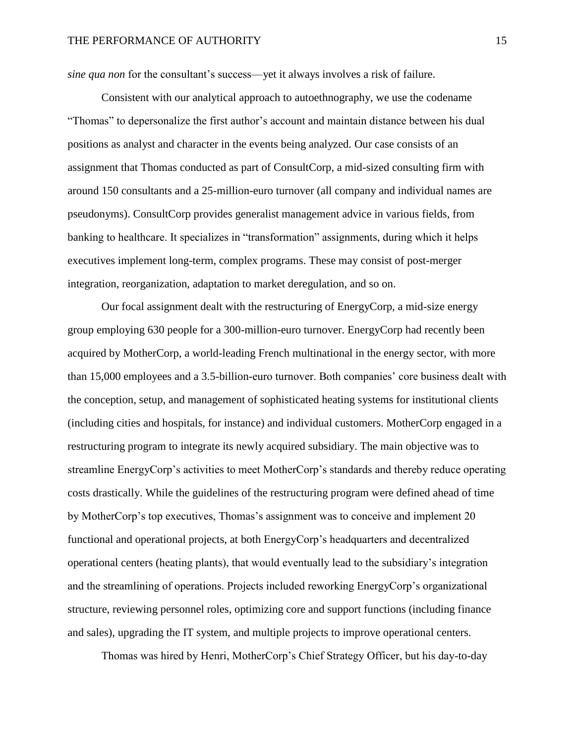*sine qua non* for the consultant's success—yet it always involves a risk of failure.

Consistent with our analytical approach to autoethnography, we use the codename "Thomas" to depersonalize the first author's account and maintain distance between his dual positions as analyst and character in the events being analyzed. Our case consists of an assignment that Thomas conducted as part of ConsultCorp, a mid-sized consulting firm with around 150 consultants and a 25-million-euro turnover (all company and individual names are pseudonyms). ConsultCorp provides generalist management advice in various fields, from banking to healthcare. It specializes in "transformation" assignments, during which it helps executives implement long-term, complex programs. These may consist of post-merger integration, reorganization, adaptation to market deregulation, and so on.

Our focal assignment dealt with the restructuring of EnergyCorp, a mid-size energy group employing 630 people for a 300-million-euro turnover. EnergyCorp had recently been acquired by MotherCorp, a world-leading French multinational in the energy sector, with more than 15,000 employees and a 3.5-billion-euro turnover. Both companies' core business dealt with the conception, setup, and management of sophisticated heating systems for institutional clients (including cities and hospitals, for instance) and individual customers. MotherCorp engaged in a restructuring program to integrate its newly acquired subsidiary. The main objective was to streamline EnergyCorp's activities to meet MotherCorp's standards and thereby reduce operating costs drastically. While the guidelines of the restructuring program were defined ahead of time by MotherCorp's top executives, Thomas's assignment was to conceive and implement 20 functional and operational projects, at both EnergyCorp's headquarters and decentralized operational centers (heating plants), that would eventually lead to the subsidiary's integration and the streamlining of operations. Projects included reworking EnergyCorp's organizational structure, reviewing personnel roles, optimizing core and support functions (including finance and sales), upgrading the IT system, and multiple projects to improve operational centers.

Thomas was hired by Henri, MotherCorp's Chief Strategy Officer, but his day-to-day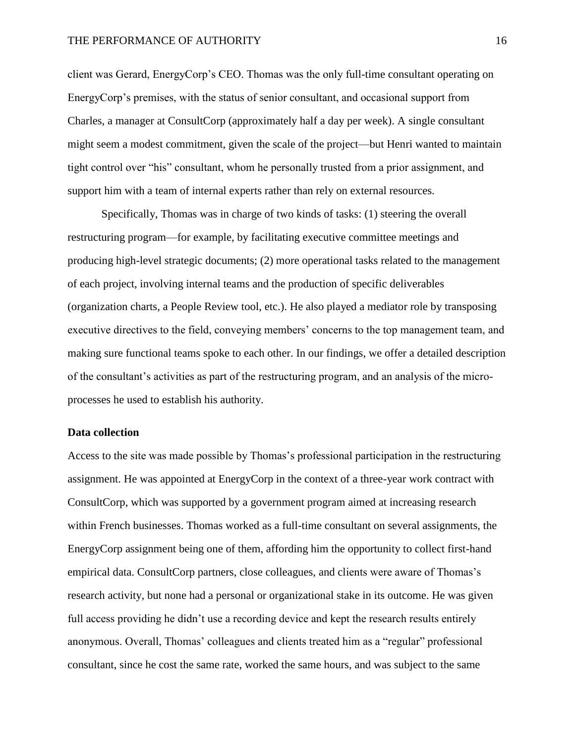client was Gerard, EnergyCorp's CEO. Thomas was the only full-time consultant operating on EnergyCorp's premises, with the status of senior consultant, and occasional support from Charles, a manager at ConsultCorp (approximately half a day per week). A single consultant might seem a modest commitment, given the scale of the project—but Henri wanted to maintain tight control over "his" consultant, whom he personally trusted from a prior assignment, and support him with a team of internal experts rather than rely on external resources.

Specifically, Thomas was in charge of two kinds of tasks: (1) steering the overall restructuring program—for example, by facilitating executive committee meetings and producing high-level strategic documents; (2) more operational tasks related to the management of each project, involving internal teams and the production of specific deliverables (organization charts, a People Review tool, etc.). He also played a mediator role by transposing executive directives to the field, conveying members' concerns to the top management team, and making sure functional teams spoke to each other. In our findings, we offer a detailed description of the consultant's activities as part of the restructuring program, and an analysis of the microprocesses he used to establish his authority.

## **Data collection**

Access to the site was made possible by Thomas's professional participation in the restructuring assignment. He was appointed at EnergyCorp in the context of a three-year work contract with ConsultCorp, which was supported by a government program aimed at increasing research within French businesses. Thomas worked as a full-time consultant on several assignments, the EnergyCorp assignment being one of them, affording him the opportunity to collect first-hand empirical data. ConsultCorp partners, close colleagues, and clients were aware of Thomas's research activity, but none had a personal or organizational stake in its outcome. He was given full access providing he didn't use a recording device and kept the research results entirely anonymous. Overall, Thomas' colleagues and clients treated him as a "regular" professional consultant, since he cost the same rate, worked the same hours, and was subject to the same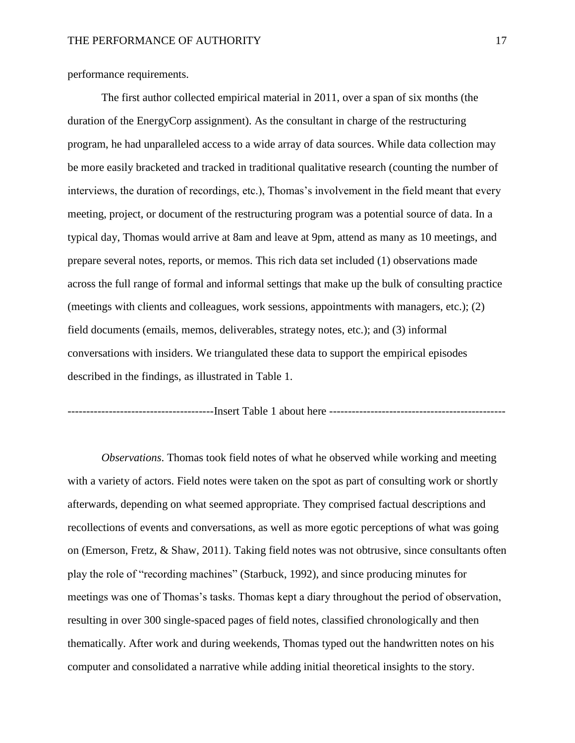performance requirements.

The first author collected empirical material in 2011, over a span of six months (the duration of the EnergyCorp assignment). As the consultant in charge of the restructuring program, he had unparalleled access to a wide array of data sources. While data collection may be more easily bracketed and tracked in traditional qualitative research (counting the number of interviews, the duration of recordings, etc.), Thomas's involvement in the field meant that every meeting, project, or document of the restructuring program was a potential source of data. In a typical day, Thomas would arrive at 8am and leave at 9pm, attend as many as 10 meetings, and prepare several notes, reports, or memos. This rich data set included (1) observations made across the full range of formal and informal settings that make up the bulk of consulting practice (meetings with clients and colleagues, work sessions, appointments with managers, etc.); (2) field documents (emails, memos, deliverables, strategy notes, etc.); and (3) informal conversations with insiders. We triangulated these data to support the empirical episodes described in the findings, as illustrated in Table 1.

---------------------------------------Insert Table 1 about here -----------------------------------------------

*Observations*. Thomas took field notes of what he observed while working and meeting with a variety of actors. Field notes were taken on the spot as part of consulting work or shortly afterwards, depending on what seemed appropriate. They comprised factual descriptions and recollections of events and conversations, as well as more egotic perceptions of what was going on (Emerson, Fretz, & Shaw, 2011). Taking field notes was not obtrusive, since consultants often play the role of "recording machines" (Starbuck, 1992), and since producing minutes for meetings was one of Thomas's tasks. Thomas kept a diary throughout the period of observation, resulting in over 300 single-spaced pages of field notes, classified chronologically and then thematically. After work and during weekends, Thomas typed out the handwritten notes on his computer and consolidated a narrative while adding initial theoretical insights to the story.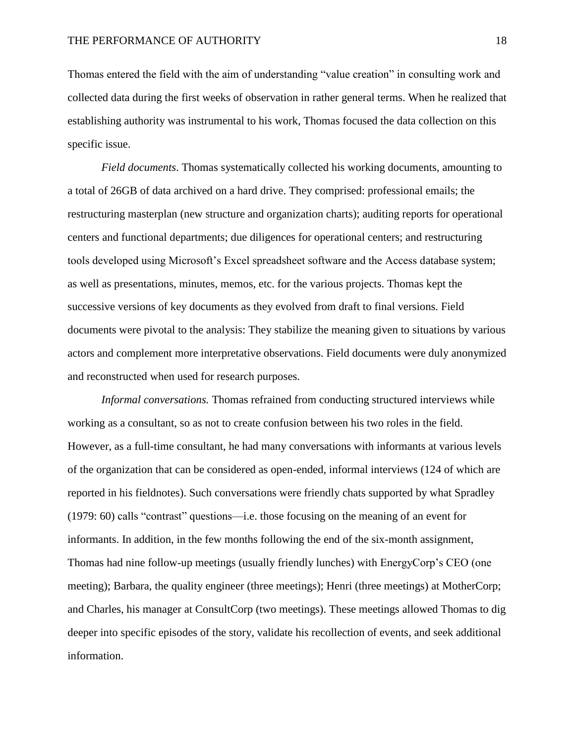Thomas entered the field with the aim of understanding "value creation" in consulting work and collected data during the first weeks of observation in rather general terms. When he realized that establishing authority was instrumental to his work, Thomas focused the data collection on this specific issue.

*Field documents*. Thomas systematically collected his working documents, amounting to a total of 26GB of data archived on a hard drive. They comprised: professional emails; the restructuring masterplan (new structure and organization charts); auditing reports for operational centers and functional departments; due diligences for operational centers; and restructuring tools developed using Microsoft's Excel spreadsheet software and the Access database system; as well as presentations, minutes, memos, etc. for the various projects. Thomas kept the successive versions of key documents as they evolved from draft to final versions. Field documents were pivotal to the analysis: They stabilize the meaning given to situations by various actors and complement more interpretative observations. Field documents were duly anonymized and reconstructed when used for research purposes.

*Informal conversations.* Thomas refrained from conducting structured interviews while working as a consultant, so as not to create confusion between his two roles in the field. However, as a full-time consultant, he had many conversations with informants at various levels of the organization that can be considered as open-ended, informal interviews (124 of which are reported in his fieldnotes). Such conversations were friendly chats supported by what Spradley (1979: 60) calls "contrast" questions—i.e. those focusing on the meaning of an event for informants. In addition, in the few months following the end of the six-month assignment, Thomas had nine follow-up meetings (usually friendly lunches) with EnergyCorp's CEO (one meeting); Barbara, the quality engineer (three meetings); Henri (three meetings) at MotherCorp; and Charles, his manager at ConsultCorp (two meetings). These meetings allowed Thomas to dig deeper into specific episodes of the story, validate his recollection of events, and seek additional information.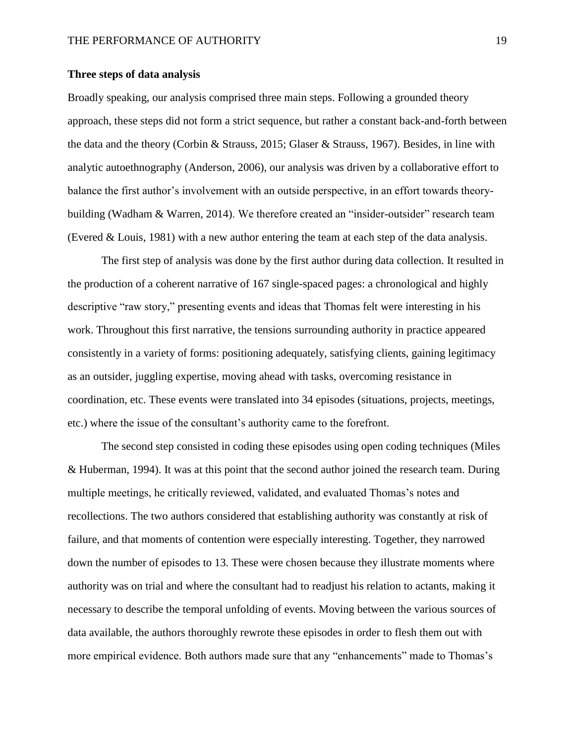#### **Three steps of data analysis**

Broadly speaking, our analysis comprised three main steps. Following a grounded theory approach, these steps did not form a strict sequence, but rather a constant back-and-forth between the data and the theory (Corbin & Strauss, 2015; Glaser & Strauss, 1967). Besides, in line with analytic autoethnography (Anderson, 2006), our analysis was driven by a collaborative effort to balance the first author's involvement with an outside perspective, in an effort towards theorybuilding (Wadham & Warren, 2014). We therefore created an "insider-outsider" research team (Evered & Louis, 1981) with a new author entering the team at each step of the data analysis.

The first step of analysis was done by the first author during data collection. It resulted in the production of a coherent narrative of 167 single-spaced pages: a chronological and highly descriptive "raw story," presenting events and ideas that Thomas felt were interesting in his work. Throughout this first narrative, the tensions surrounding authority in practice appeared consistently in a variety of forms: positioning adequately, satisfying clients, gaining legitimacy as an outsider, juggling expertise, moving ahead with tasks, overcoming resistance in coordination, etc. These events were translated into 34 episodes (situations, projects, meetings, etc.) where the issue of the consultant's authority came to the forefront.

The second step consisted in coding these episodes using open coding techniques (Miles & Huberman, 1994). It was at this point that the second author joined the research team. During multiple meetings, he critically reviewed, validated, and evaluated Thomas's notes and recollections. The two authors considered that establishing authority was constantly at risk of failure, and that moments of contention were especially interesting. Together, they narrowed down the number of episodes to 13. These were chosen because they illustrate moments where authority was on trial and where the consultant had to readjust his relation to actants, making it necessary to describe the temporal unfolding of events. Moving between the various sources of data available, the authors thoroughly rewrote these episodes in order to flesh them out with more empirical evidence. Both authors made sure that any "enhancements" made to Thomas's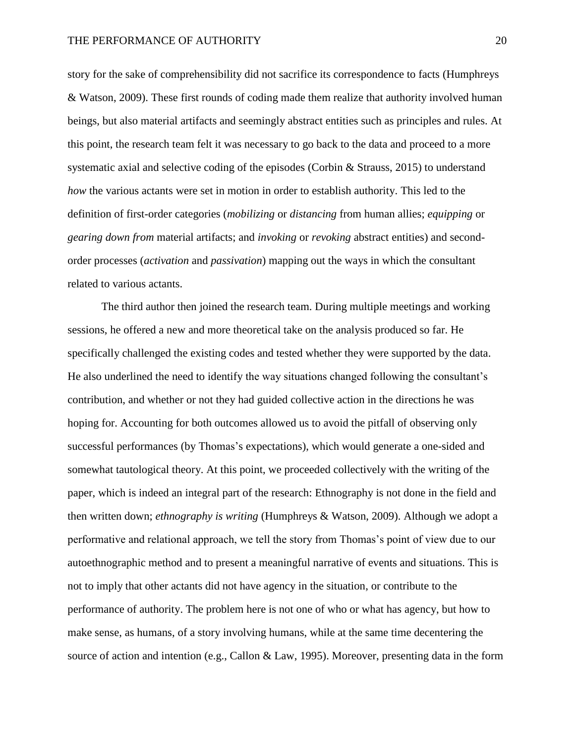story for the sake of comprehensibility did not sacrifice its correspondence to facts (Humphreys & Watson, 2009). These first rounds of coding made them realize that authority involved human beings, but also material artifacts and seemingly abstract entities such as principles and rules. At this point, the research team felt it was necessary to go back to the data and proceed to a more systematic axial and selective coding of the episodes (Corbin & Strauss, 2015) to understand *how* the various actants were set in motion in order to establish authority. This led to the definition of first-order categories (*mobilizing* or *distancing* from human allies; *equipping* or *gearing down from* material artifacts; and *invoking* or *revoking* abstract entities) and secondorder processes (*activation* and *passivation*) mapping out the ways in which the consultant related to various actants.

The third author then joined the research team. During multiple meetings and working sessions, he offered a new and more theoretical take on the analysis produced so far. He specifically challenged the existing codes and tested whether they were supported by the data. He also underlined the need to identify the way situations changed following the consultant's contribution, and whether or not they had guided collective action in the directions he was hoping for. Accounting for both outcomes allowed us to avoid the pitfall of observing only successful performances (by Thomas's expectations), which would generate a one-sided and somewhat tautological theory. At this point, we proceeded collectively with the writing of the paper, which is indeed an integral part of the research: Ethnography is not done in the field and then written down; *ethnography is writing* (Humphreys & Watson, 2009). Although we adopt a performative and relational approach, we tell the story from Thomas's point of view due to our autoethnographic method and to present a meaningful narrative of events and situations. This is not to imply that other actants did not have agency in the situation, or contribute to the performance of authority. The problem here is not one of who or what has agency, but how to make sense, as humans, of a story involving humans, while at the same time decentering the source of action and intention (e.g., Callon & Law, 1995). Moreover, presenting data in the form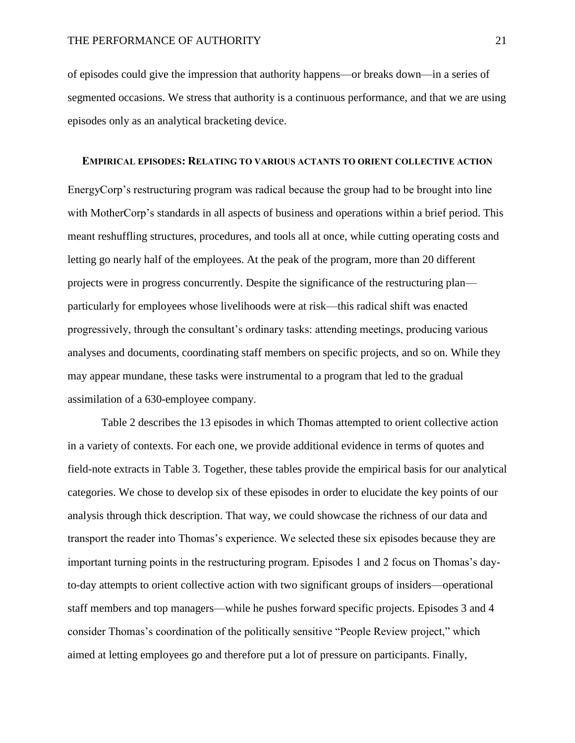of episodes could give the impression that authority happens—or breaks down—in a series of segmented occasions. We stress that authority is a continuous performance, and that we are using episodes only as an analytical bracketing device.

#### **EMPIRICAL EPISODES: RELATING TO VARIOUS ACTANTS TO ORIENT COLLECTIVE ACTION**

EnergyCorp's restructuring program was radical because the group had to be brought into line with MotherCorp's standards in all aspects of business and operations within a brief period. This meant reshuffling structures, procedures, and tools all at once, while cutting operating costs and letting go nearly half of the employees. At the peak of the program, more than 20 different projects were in progress concurrently. Despite the significance of the restructuring plan particularly for employees whose livelihoods were at risk—this radical shift was enacted progressively, through the consultant's ordinary tasks: attending meetings, producing various analyses and documents, coordinating staff members on specific projects, and so on. While they may appear mundane, these tasks were instrumental to a program that led to the gradual assimilation of a 630-employee company.

Table 2 describes the 13 episodes in which Thomas attempted to orient collective action in a variety of contexts. For each one, we provide additional evidence in terms of quotes and field-note extracts in Table 3. Together, these tables provide the empirical basis for our analytical categories. We chose to develop six of these episodes in order to elucidate the key points of our analysis through thick description. That way, we could showcase the richness of our data and transport the reader into Thomas's experience. We selected these six episodes because they are important turning points in the restructuring program. Episodes 1 and 2 focus on Thomas's dayto-day attempts to orient collective action with two significant groups of insiders—operational staff members and top managers—while he pushes forward specific projects. Episodes 3 and 4 consider Thomas's coordination of the politically sensitive "People Review project," which aimed at letting employees go and therefore put a lot of pressure on participants. Finally,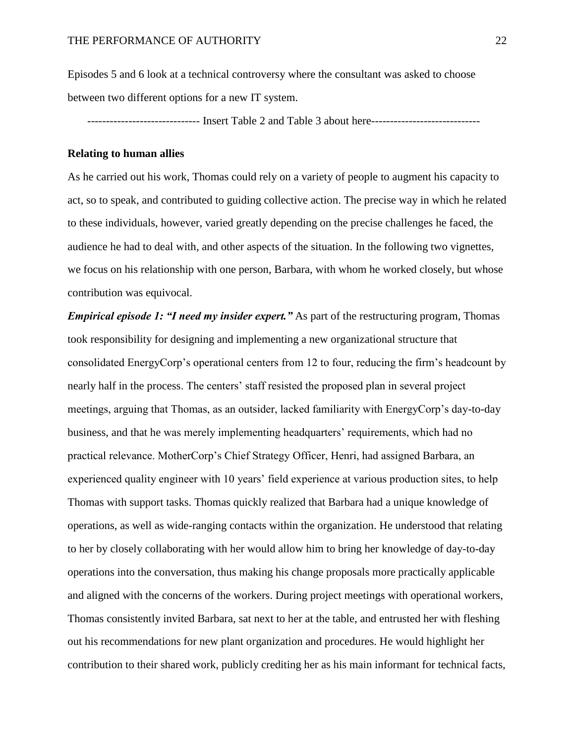Episodes 5 and 6 look at a technical controversy where the consultant was asked to choose between two different options for a new IT system.

------------------------------ Insert Table 2 and Table 3 about here-----------------------------

#### **Relating to human allies**

As he carried out his work, Thomas could rely on a variety of people to augment his capacity to act, so to speak, and contributed to guiding collective action. The precise way in which he related to these individuals, however, varied greatly depending on the precise challenges he faced, the audience he had to deal with, and other aspects of the situation. In the following two vignettes, we focus on his relationship with one person, Barbara, with whom he worked closely, but whose contribution was equivocal.

*Empirical episode 1: "I need my insider expert."* As part of the restructuring program, Thomas took responsibility for designing and implementing a new organizational structure that consolidated EnergyCorp's operational centers from 12 to four, reducing the firm's headcount by nearly half in the process. The centers' staff resisted the proposed plan in several project meetings, arguing that Thomas, as an outsider, lacked familiarity with EnergyCorp's day-to-day business, and that he was merely implementing headquarters' requirements, which had no practical relevance. MotherCorp's Chief Strategy Officer, Henri, had assigned Barbara, an experienced quality engineer with 10 years' field experience at various production sites, to help Thomas with support tasks. Thomas quickly realized that Barbara had a unique knowledge of operations, as well as wide-ranging contacts within the organization. He understood that relating to her by closely collaborating with her would allow him to bring her knowledge of day-to-day operations into the conversation, thus making his change proposals more practically applicable and aligned with the concerns of the workers. During project meetings with operational workers, Thomas consistently invited Barbara, sat next to her at the table, and entrusted her with fleshing out his recommendations for new plant organization and procedures. He would highlight her contribution to their shared work, publicly crediting her as his main informant for technical facts,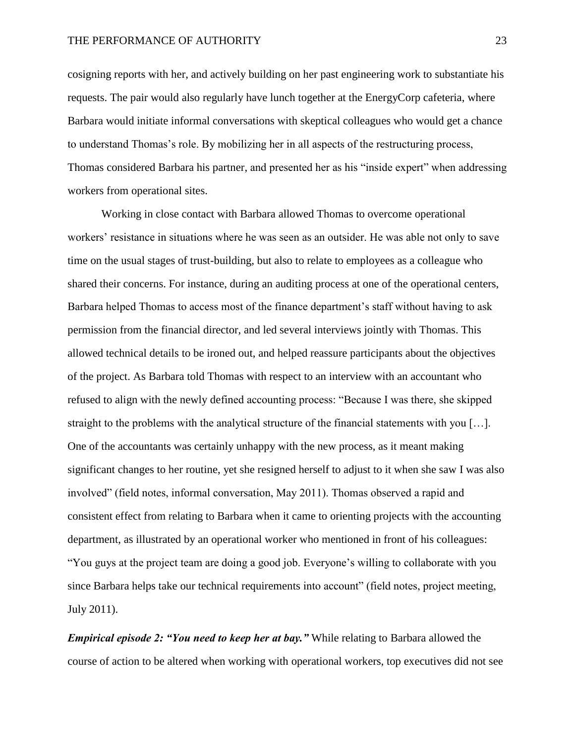cosigning reports with her, and actively building on her past engineering work to substantiate his requests. The pair would also regularly have lunch together at the EnergyCorp cafeteria, where Barbara would initiate informal conversations with skeptical colleagues who would get a chance to understand Thomas's role. By mobilizing her in all aspects of the restructuring process, Thomas considered Barbara his partner, and presented her as his "inside expert" when addressing workers from operational sites.

Working in close contact with Barbara allowed Thomas to overcome operational workers' resistance in situations where he was seen as an outsider. He was able not only to save time on the usual stages of trust-building, but also to relate to employees as a colleague who shared their concerns. For instance, during an auditing process at one of the operational centers, Barbara helped Thomas to access most of the finance department's staff without having to ask permission from the financial director, and led several interviews jointly with Thomas. This allowed technical details to be ironed out, and helped reassure participants about the objectives of the project. As Barbara told Thomas with respect to an interview with an accountant who refused to align with the newly defined accounting process: "Because I was there, she skipped straight to the problems with the analytical structure of the financial statements with you […]. One of the accountants was certainly unhappy with the new process, as it meant making significant changes to her routine, yet she resigned herself to adjust to it when she saw I was also involved" (field notes, informal conversation, May 2011). Thomas observed a rapid and consistent effect from relating to Barbara when it came to orienting projects with the accounting department, as illustrated by an operational worker who mentioned in front of his colleagues: "You guys at the project team are doing a good job. Everyone's willing to collaborate with you since Barbara helps take our technical requirements into account" (field notes, project meeting, July 2011).

*Empirical episode 2: "You need to keep her at bay."* While relating to Barbara allowed the course of action to be altered when working with operational workers, top executives did not see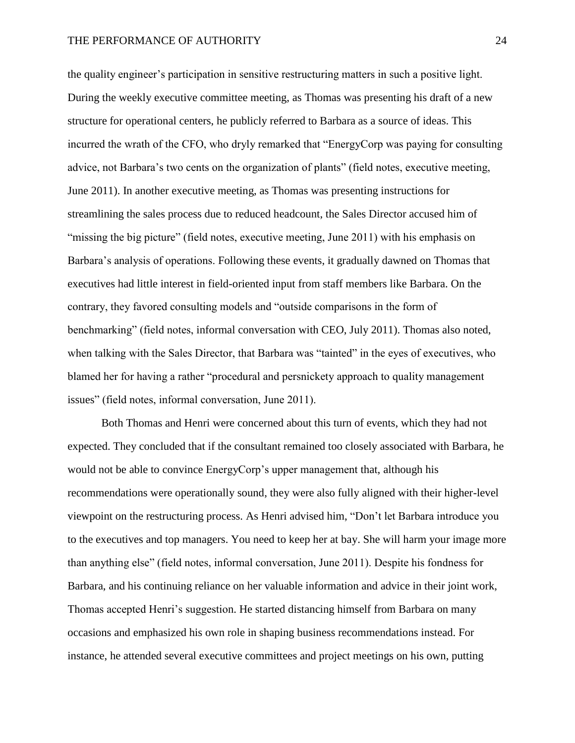the quality engineer's participation in sensitive restructuring matters in such a positive light. During the weekly executive committee meeting, as Thomas was presenting his draft of a new structure for operational centers, he publicly referred to Barbara as a source of ideas. This incurred the wrath of the CFO, who dryly remarked that "EnergyCorp was paying for consulting advice, not Barbara's two cents on the organization of plants" (field notes, executive meeting, June 2011). In another executive meeting, as Thomas was presenting instructions for streamlining the sales process due to reduced headcount, the Sales Director accused him of "missing the big picture" (field notes, executive meeting, June 2011) with his emphasis on Barbara's analysis of operations. Following these events, it gradually dawned on Thomas that executives had little interest in field-oriented input from staff members like Barbara. On the contrary, they favored consulting models and "outside comparisons in the form of benchmarking" (field notes, informal conversation with CEO, July 2011). Thomas also noted, when talking with the Sales Director, that Barbara was "tainted" in the eyes of executives, who blamed her for having a rather "procedural and persnickety approach to quality management issues" (field notes, informal conversation, June 2011).

Both Thomas and Henri were concerned about this turn of events, which they had not expected. They concluded that if the consultant remained too closely associated with Barbara, he would not be able to convince EnergyCorp's upper management that, although his recommendations were operationally sound, they were also fully aligned with their higher-level viewpoint on the restructuring process. As Henri advised him, "Don't let Barbara introduce you to the executives and top managers. You need to keep her at bay. She will harm your image more than anything else" (field notes, informal conversation, June 2011). Despite his fondness for Barbara, and his continuing reliance on her valuable information and advice in their joint work, Thomas accepted Henri's suggestion. He started distancing himself from Barbara on many occasions and emphasized his own role in shaping business recommendations instead. For instance, he attended several executive committees and project meetings on his own, putting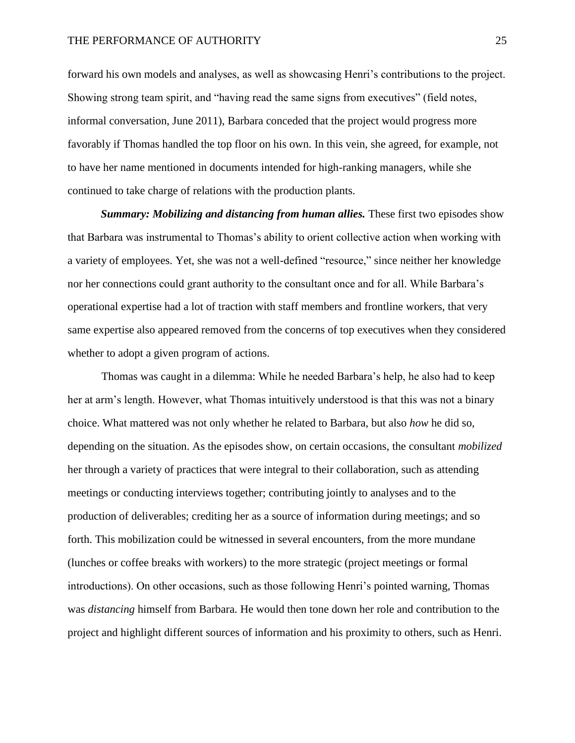forward his own models and analyses, as well as showcasing Henri's contributions to the project. Showing strong team spirit, and "having read the same signs from executives" (field notes, informal conversation, June 2011), Barbara conceded that the project would progress more favorably if Thomas handled the top floor on his own. In this vein, she agreed, for example, not to have her name mentioned in documents intended for high-ranking managers, while she continued to take charge of relations with the production plants.

**Summary: Mobilizing and distancing from human allies.** These first two episodes show that Barbara was instrumental to Thomas's ability to orient collective action when working with a variety of employees. Yet, she was not a well-defined "resource," since neither her knowledge nor her connections could grant authority to the consultant once and for all. While Barbara's operational expertise had a lot of traction with staff members and frontline workers, that very same expertise also appeared removed from the concerns of top executives when they considered whether to adopt a given program of actions.

Thomas was caught in a dilemma: While he needed Barbara's help, he also had to keep her at arm's length. However, what Thomas intuitively understood is that this was not a binary choice. What mattered was not only whether he related to Barbara, but also *how* he did so, depending on the situation. As the episodes show, on certain occasions, the consultant *mobilized* her through a variety of practices that were integral to their collaboration, such as attending meetings or conducting interviews together; contributing jointly to analyses and to the production of deliverables; crediting her as a source of information during meetings; and so forth. This mobilization could be witnessed in several encounters, from the more mundane (lunches or coffee breaks with workers) to the more strategic (project meetings or formal introductions). On other occasions, such as those following Henri's pointed warning, Thomas was *distancing* himself from Barbara. He would then tone down her role and contribution to the project and highlight different sources of information and his proximity to others, such as Henri.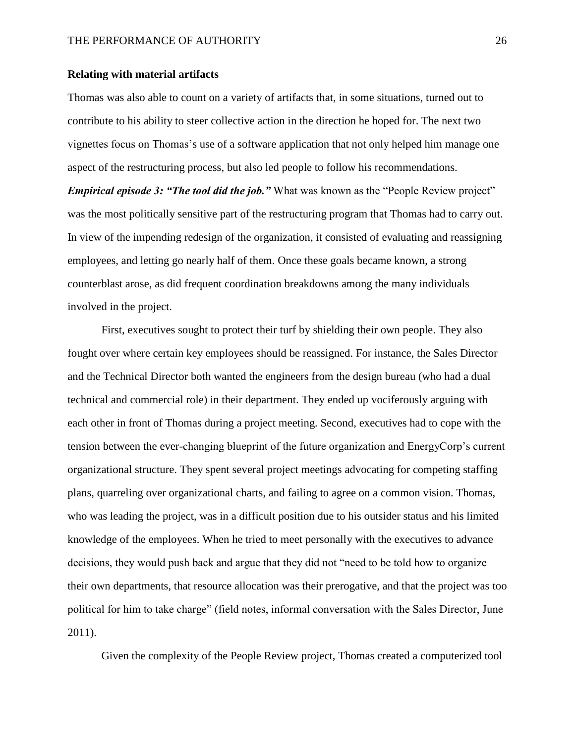## **Relating with material artifacts**

Thomas was also able to count on a variety of artifacts that, in some situations, turned out to contribute to his ability to steer collective action in the direction he hoped for. The next two vignettes focus on Thomas's use of a software application that not only helped him manage one aspect of the restructuring process, but also led people to follow his recommendations.

*Empirical episode 3: "The tool did the job.*" What was known as the "People Review project" was the most politically sensitive part of the restructuring program that Thomas had to carry out. In view of the impending redesign of the organization, it consisted of evaluating and reassigning employees, and letting go nearly half of them. Once these goals became known, a strong counterblast arose, as did frequent coordination breakdowns among the many individuals involved in the project.

First, executives sought to protect their turf by shielding their own people. They also fought over where certain key employees should be reassigned. For instance, the Sales Director and the Technical Director both wanted the engineers from the design bureau (who had a dual technical and commercial role) in their department. They ended up vociferously arguing with each other in front of Thomas during a project meeting. Second, executives had to cope with the tension between the ever-changing blueprint of the future organization and EnergyCorp's current organizational structure. They spent several project meetings advocating for competing staffing plans, quarreling over organizational charts, and failing to agree on a common vision. Thomas, who was leading the project, was in a difficult position due to his outsider status and his limited knowledge of the employees. When he tried to meet personally with the executives to advance decisions, they would push back and argue that they did not "need to be told how to organize their own departments, that resource allocation was their prerogative, and that the project was too political for him to take charge" (field notes, informal conversation with the Sales Director, June 2011).

Given the complexity of the People Review project, Thomas created a computerized tool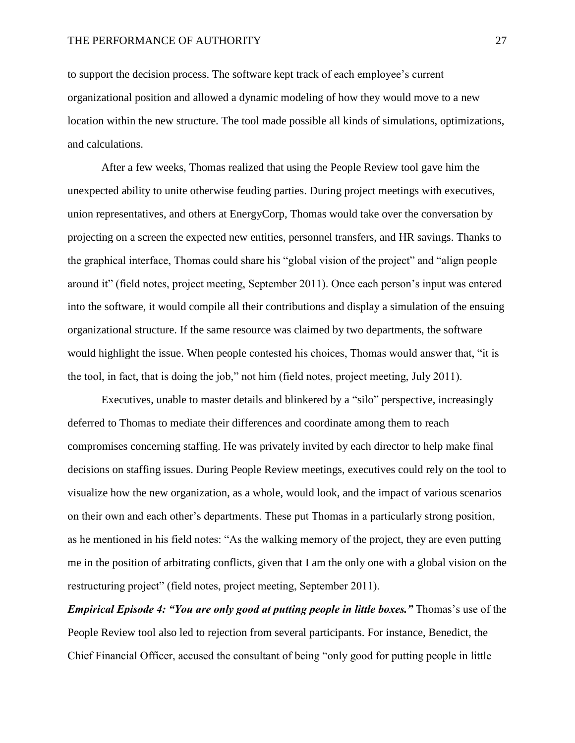to support the decision process. The software kept track of each employee's current organizational position and allowed a dynamic modeling of how they would move to a new location within the new structure. The tool made possible all kinds of simulations, optimizations, and calculations.

After a few weeks, Thomas realized that using the People Review tool gave him the unexpected ability to unite otherwise feuding parties. During project meetings with executives, union representatives, and others at EnergyCorp, Thomas would take over the conversation by projecting on a screen the expected new entities, personnel transfers, and HR savings. Thanks to the graphical interface, Thomas could share his "global vision of the project" and "align people around it" (field notes, project meeting, September 2011). Once each person's input was entered into the software, it would compile all their contributions and display a simulation of the ensuing organizational structure. If the same resource was claimed by two departments, the software would highlight the issue. When people contested his choices, Thomas would answer that, "it is the tool, in fact, that is doing the job," not him (field notes, project meeting, July 2011).

Executives, unable to master details and blinkered by a "silo" perspective, increasingly deferred to Thomas to mediate their differences and coordinate among them to reach compromises concerning staffing. He was privately invited by each director to help make final decisions on staffing issues. During People Review meetings, executives could rely on the tool to visualize how the new organization, as a whole, would look, and the impact of various scenarios on their own and each other's departments. These put Thomas in a particularly strong position, as he mentioned in his field notes: "As the walking memory of the project, they are even putting me in the position of arbitrating conflicts, given that I am the only one with a global vision on the restructuring project" (field notes, project meeting, September 2011).

*Empirical Episode 4: "You are only good at putting people in little boxes."* Thomas's use of the People Review tool also led to rejection from several participants. For instance, Benedict, the Chief Financial Officer, accused the consultant of being "only good for putting people in little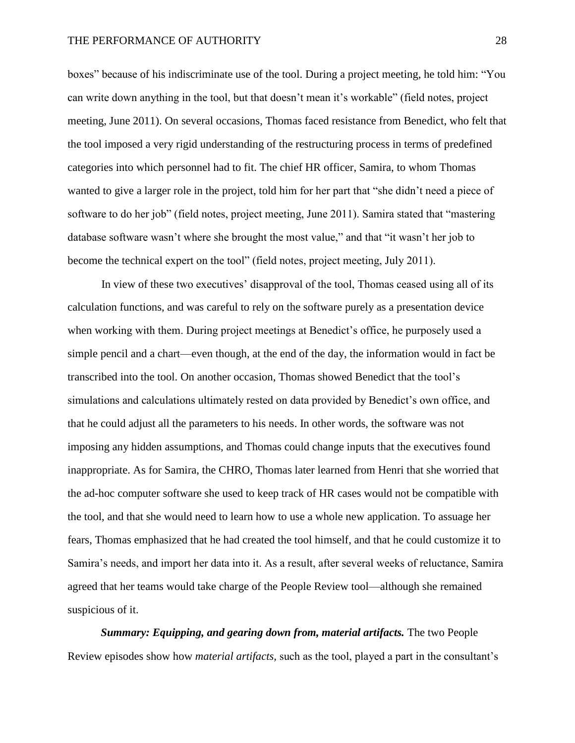boxes" because of his indiscriminate use of the tool. During a project meeting, he told him: "You can write down anything in the tool, but that doesn't mean it's workable" (field notes, project meeting, June 2011). On several occasions, Thomas faced resistance from Benedict, who felt that the tool imposed a very rigid understanding of the restructuring process in terms of predefined categories into which personnel had to fit. The chief HR officer, Samira, to whom Thomas wanted to give a larger role in the project, told him for her part that "she didn't need a piece of software to do her job" (field notes, project meeting, June 2011). Samira stated that "mastering database software wasn't where she brought the most value," and that "it wasn't her job to become the technical expert on the tool" (field notes, project meeting, July 2011).

In view of these two executives' disapproval of the tool, Thomas ceased using all of its calculation functions, and was careful to rely on the software purely as a presentation device when working with them. During project meetings at Benedict's office, he purposely used a simple pencil and a chart—even though, at the end of the day, the information would in fact be transcribed into the tool. On another occasion, Thomas showed Benedict that the tool's simulations and calculations ultimately rested on data provided by Benedict's own office, and that he could adjust all the parameters to his needs. In other words, the software was not imposing any hidden assumptions, and Thomas could change inputs that the executives found inappropriate. As for Samira, the CHRO, Thomas later learned from Henri that she worried that the ad-hoc computer software she used to keep track of HR cases would not be compatible with the tool, and that she would need to learn how to use a whole new application. To assuage her fears, Thomas emphasized that he had created the tool himself, and that he could customize it to Samira's needs, and import her data into it. As a result, after several weeks of reluctance, Samira agreed that her teams would take charge of the People Review tool—although she remained suspicious of it.

*Summary: Equipping, and gearing down from, material artifacts.* The two People Review episodes show how *material artifacts,* such as the tool, played a part in the consultant's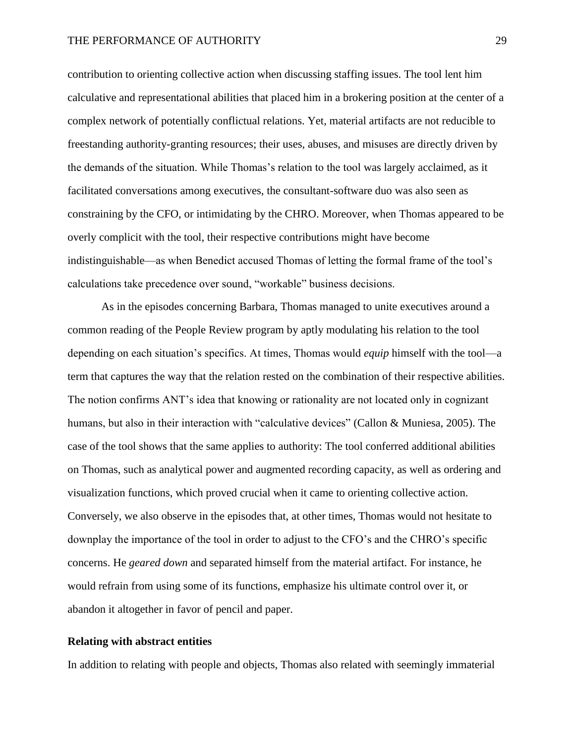contribution to orienting collective action when discussing staffing issues. The tool lent him calculative and representational abilities that placed him in a brokering position at the center of a complex network of potentially conflictual relations. Yet, material artifacts are not reducible to freestanding authority-granting resources; their uses, abuses, and misuses are directly driven by the demands of the situation. While Thomas's relation to the tool was largely acclaimed, as it facilitated conversations among executives, the consultant-software duo was also seen as constraining by the CFO, or intimidating by the CHRO. Moreover, when Thomas appeared to be overly complicit with the tool, their respective contributions might have become indistinguishable—as when Benedict accused Thomas of letting the formal frame of the tool's calculations take precedence over sound, "workable" business decisions.

As in the episodes concerning Barbara, Thomas managed to unite executives around a common reading of the People Review program by aptly modulating his relation to the tool depending on each situation's specifics. At times, Thomas would *equip* himself with the tool—a term that captures the way that the relation rested on the combination of their respective abilities. The notion confirms ANT's idea that knowing or rationality are not located only in cognizant humans, but also in their interaction with "calculative devices" (Callon & Muniesa, 2005). The case of the tool shows that the same applies to authority: The tool conferred additional abilities on Thomas, such as analytical power and augmented recording capacity, as well as ordering and visualization functions, which proved crucial when it came to orienting collective action. Conversely, we also observe in the episodes that, at other times, Thomas would not hesitate to downplay the importance of the tool in order to adjust to the CFO's and the CHRO's specific concerns. He *geared down* and separated himself from the material artifact. For instance, he would refrain from using some of its functions, emphasize his ultimate control over it, or abandon it altogether in favor of pencil and paper.

## **Relating with abstract entities**

In addition to relating with people and objects, Thomas also related with seemingly immaterial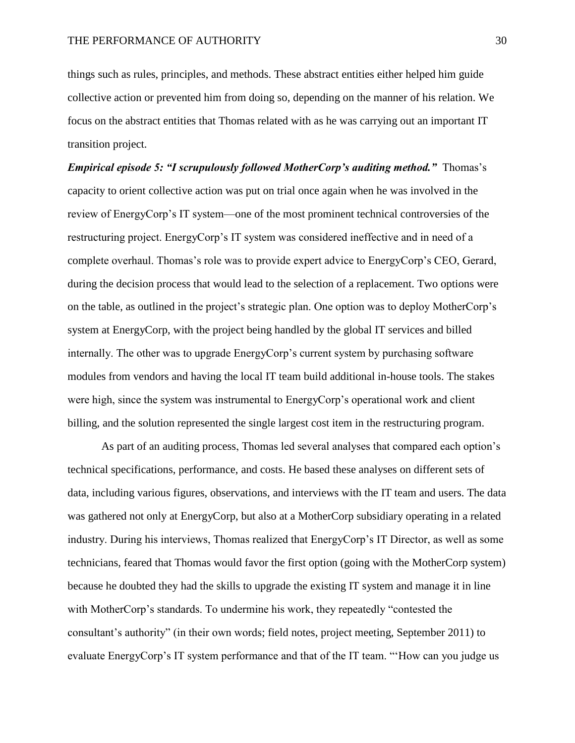things such as rules, principles, and methods. These abstract entities either helped him guide collective action or prevented him from doing so, depending on the manner of his relation. We focus on the abstract entities that Thomas related with as he was carrying out an important IT transition project.

*Empirical episode 5: "I scrupulously followed MotherCorp's auditing method."* Thomas's capacity to orient collective action was put on trial once again when he was involved in the review of EnergyCorp's IT system—one of the most prominent technical controversies of the restructuring project. EnergyCorp's IT system was considered ineffective and in need of a complete overhaul. Thomas's role was to provide expert advice to EnergyCorp's CEO, Gerard, during the decision process that would lead to the selection of a replacement. Two options were on the table, as outlined in the project's strategic plan. One option was to deploy MotherCorp's system at EnergyCorp, with the project being handled by the global IT services and billed internally. The other was to upgrade EnergyCorp's current system by purchasing software modules from vendors and having the local IT team build additional in-house tools. The stakes were high, since the system was instrumental to EnergyCorp's operational work and client billing, and the solution represented the single largest cost item in the restructuring program.

As part of an auditing process, Thomas led several analyses that compared each option's technical specifications, performance, and costs. He based these analyses on different sets of data, including various figures, observations, and interviews with the IT team and users. The data was gathered not only at EnergyCorp, but also at a MotherCorp subsidiary operating in a related industry. During his interviews, Thomas realized that EnergyCorp's IT Director, as well as some technicians, feared that Thomas would favor the first option (going with the MotherCorp system) because he doubted they had the skills to upgrade the existing IT system and manage it in line with MotherCorp's standards. To undermine his work, they repeatedly "contested the consultant's authority" (in their own words; field notes, project meeting, September 2011) to evaluate EnergyCorp's IT system performance and that of the IT team. "'How can you judge us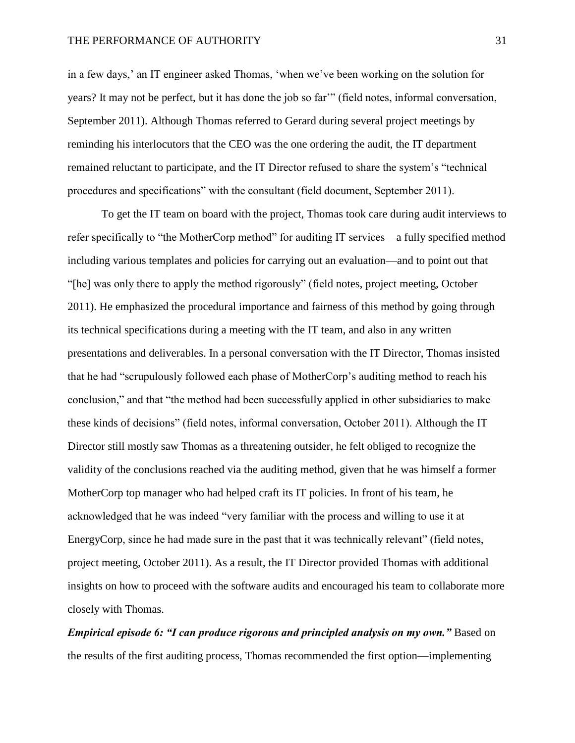in a few days,' an IT engineer asked Thomas, 'when we've been working on the solution for years? It may not be perfect, but it has done the job so far'" (field notes, informal conversation, September 2011). Although Thomas referred to Gerard during several project meetings by reminding his interlocutors that the CEO was the one ordering the audit, the IT department remained reluctant to participate, and the IT Director refused to share the system's "technical procedures and specifications" with the consultant (field document, September 2011).

To get the IT team on board with the project, Thomas took care during audit interviews to refer specifically to "the MotherCorp method" for auditing IT services—a fully specified method including various templates and policies for carrying out an evaluation—and to point out that "[he] was only there to apply the method rigorously" (field notes, project meeting, October 2011). He emphasized the procedural importance and fairness of this method by going through its technical specifications during a meeting with the IT team, and also in any written presentations and deliverables. In a personal conversation with the IT Director, Thomas insisted that he had "scrupulously followed each phase of MotherCorp's auditing method to reach his conclusion," and that "the method had been successfully applied in other subsidiaries to make these kinds of decisions" (field notes, informal conversation, October 2011). Although the IT Director still mostly saw Thomas as a threatening outsider, he felt obliged to recognize the validity of the conclusions reached via the auditing method, given that he was himself a former MotherCorp top manager who had helped craft its IT policies. In front of his team, he acknowledged that he was indeed "very familiar with the process and willing to use it at EnergyCorp, since he had made sure in the past that it was technically relevant" (field notes, project meeting, October 2011). As a result, the IT Director provided Thomas with additional insights on how to proceed with the software audits and encouraged his team to collaborate more closely with Thomas.

*Empirical episode 6: "I can produce rigorous and principled analysis on my own.*" Based on the results of the first auditing process, Thomas recommended the first option—implementing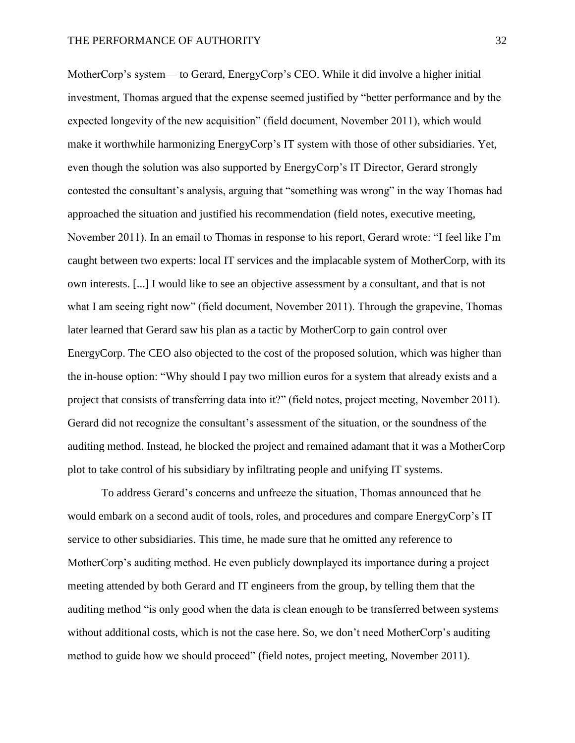MotherCorp's system— to Gerard, EnergyCorp's CEO. While it did involve a higher initial investment, Thomas argued that the expense seemed justified by "better performance and by the expected longevity of the new acquisition" (field document, November 2011), which would make it worthwhile harmonizing EnergyCorp's IT system with those of other subsidiaries. Yet, even though the solution was also supported by EnergyCorp's IT Director, Gerard strongly contested the consultant's analysis, arguing that "something was wrong" in the way Thomas had approached the situation and justified his recommendation (field notes, executive meeting, November 2011). In an email to Thomas in response to his report, Gerard wrote: "I feel like I'm caught between two experts: local IT services and the implacable system of MotherCorp, with its own interests. [...] I would like to see an objective assessment by a consultant, and that is not what I am seeing right now" (field document, November 2011). Through the grapevine, Thomas later learned that Gerard saw his plan as a tactic by MotherCorp to gain control over EnergyCorp. The CEO also objected to the cost of the proposed solution, which was higher than the in-house option: "Why should I pay two million euros for a system that already exists and a project that consists of transferring data into it?" (field notes, project meeting, November 2011). Gerard did not recognize the consultant's assessment of the situation, or the soundness of the auditing method. Instead, he blocked the project and remained adamant that it was a MotherCorp plot to take control of his subsidiary by infiltrating people and unifying IT systems.

To address Gerard's concerns and unfreeze the situation, Thomas announced that he would embark on a second audit of tools, roles, and procedures and compare EnergyCorp's IT service to other subsidiaries. This time, he made sure that he omitted any reference to MotherCorp's auditing method. He even publicly downplayed its importance during a project meeting attended by both Gerard and IT engineers from the group, by telling them that the auditing method "is only good when the data is clean enough to be transferred between systems without additional costs, which is not the case here. So, we don't need MotherCorp's auditing method to guide how we should proceed" (field notes, project meeting, November 2011).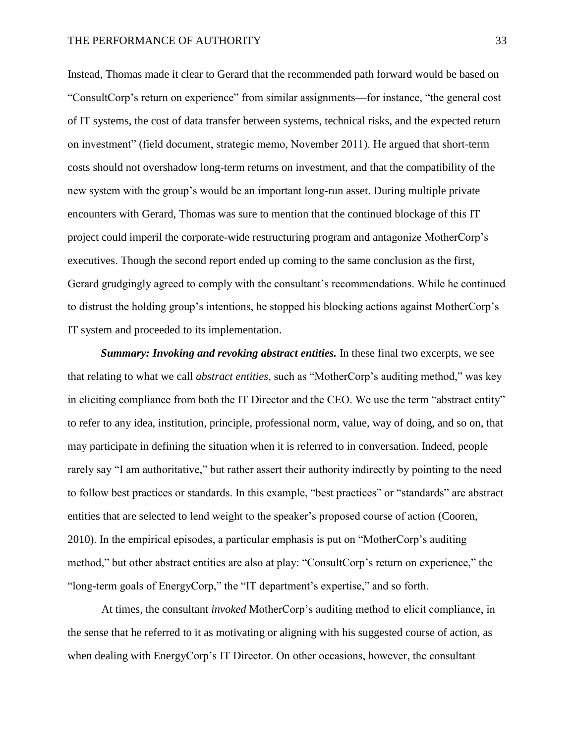Instead, Thomas made it clear to Gerard that the recommended path forward would be based on "ConsultCorp's return on experience" from similar assignments—for instance, "the general cost of IT systems, the cost of data transfer between systems, technical risks, and the expected return on investment" (field document, strategic memo, November 2011). He argued that short-term costs should not overshadow long-term returns on investment, and that the compatibility of the new system with the group's would be an important long-run asset. During multiple private encounters with Gerard, Thomas was sure to mention that the continued blockage of this IT project could imperil the corporate-wide restructuring program and antagonize MotherCorp's executives. Though the second report ended up coming to the same conclusion as the first, Gerard grudgingly agreed to comply with the consultant's recommendations. While he continued to distrust the holding group's intentions, he stopped his blocking actions against MotherCorp's IT system and proceeded to its implementation.

*Summary: Invoking and revoking abstract entities.* In these final two excerpts, we see that relating to what we call *abstract entities*, such as "MotherCorp's auditing method," was key in eliciting compliance from both the IT Director and the CEO. We use the term "abstract entity" to refer to any idea, institution, principle, professional norm, value, way of doing, and so on, that may participate in defining the situation when it is referred to in conversation. Indeed, people rarely say "I am authoritative," but rather assert their authority indirectly by pointing to the need to follow best practices or standards. In this example, "best practices" or "standards" are abstract entities that are selected to lend weight to the speaker's proposed course of action (Cooren, 2010). In the empirical episodes, a particular emphasis is put on "MotherCorp's auditing method," but other abstract entities are also at play: "ConsultCorp's return on experience," the "long-term goals of EnergyCorp," the "IT department's expertise," and so forth.

At times, the consultant *invoked* MotherCorp's auditing method to elicit compliance, in the sense that he referred to it as motivating or aligning with his suggested course of action, as when dealing with EnergyCorp's IT Director. On other occasions, however, the consultant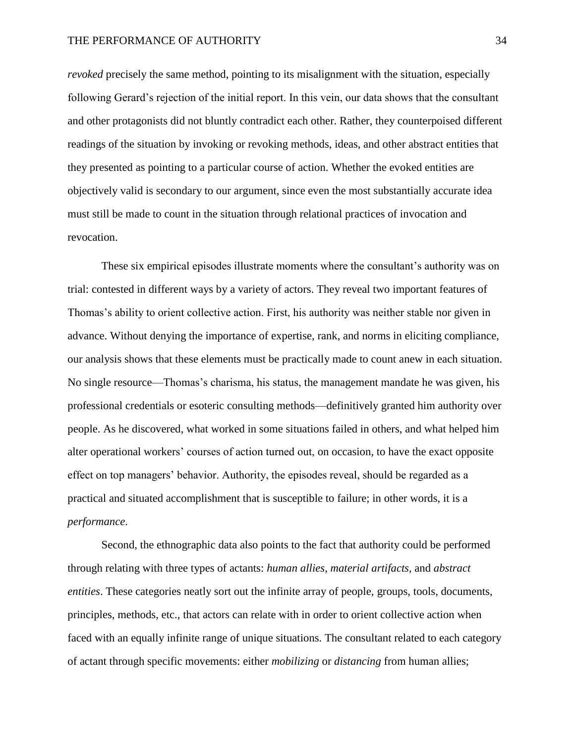*revoked* precisely the same method, pointing to its misalignment with the situation, especially following Gerard's rejection of the initial report. In this vein, our data shows that the consultant and other protagonists did not bluntly contradict each other. Rather, they counterpoised different readings of the situation by invoking or revoking methods, ideas, and other abstract entities that they presented as pointing to a particular course of action. Whether the evoked entities are objectively valid is secondary to our argument, since even the most substantially accurate idea must still be made to count in the situation through relational practices of invocation and revocation.

These six empirical episodes illustrate moments where the consultant's authority was on trial: contested in different ways by a variety of actors. They reveal two important features of Thomas's ability to orient collective action. First, his authority was neither stable nor given in advance. Without denying the importance of expertise, rank, and norms in eliciting compliance, our analysis shows that these elements must be practically made to count anew in each situation. No single resource—Thomas's charisma, his status, the management mandate he was given, his professional credentials or esoteric consulting methods—definitively granted him authority over people. As he discovered, what worked in some situations failed in others, and what helped him alter operational workers' courses of action turned out, on occasion, to have the exact opposite effect on top managers' behavior. Authority, the episodes reveal, should be regarded as a practical and situated accomplishment that is susceptible to failure; in other words, it is a *performance*.

Second, the ethnographic data also points to the fact that authority could be performed through relating with three types of actants: *human allies*, *material artifacts,* and *abstract entities*. These categories neatly sort out the infinite array of people, groups, tools, documents, principles, methods, etc., that actors can relate with in order to orient collective action when faced with an equally infinite range of unique situations. The consultant related to each category of actant through specific movements: either *mobilizing* or *distancing* from human allies;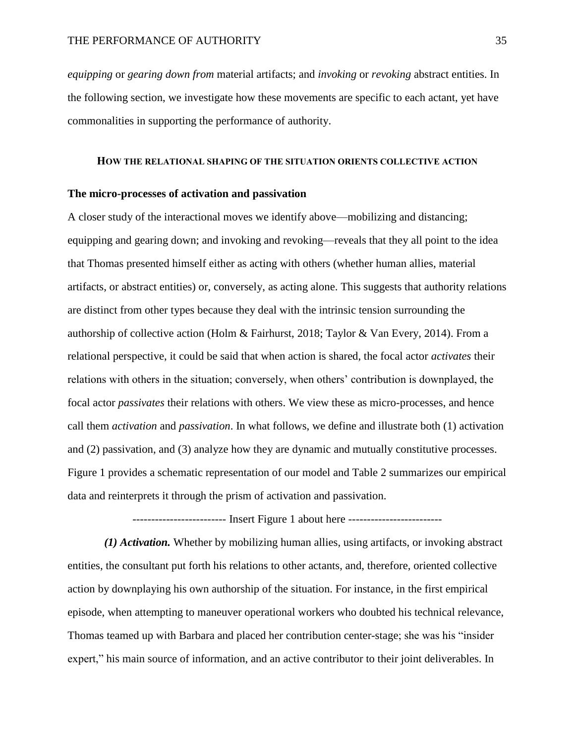*equipping* or *gearing down from* material artifacts; and *invoking* or *revoking* abstract entities. In the following section, we investigate how these movements are specific to each actant, yet have commonalities in supporting the performance of authority.

#### **HOW THE RELATIONAL SHAPING OF THE SITUATION ORIENTS COLLECTIVE ACTION**

#### **The micro-processes of activation and passivation**

A closer study of the interactional moves we identify above—mobilizing and distancing; equipping and gearing down; and invoking and revoking—reveals that they all point to the idea that Thomas presented himself either as acting with others (whether human allies, material artifacts, or abstract entities) or, conversely, as acting alone. This suggests that authority relations are distinct from other types because they deal with the intrinsic tension surrounding the authorship of collective action (Holm & Fairhurst, 2018; Taylor & Van Every, 2014). From a relational perspective, it could be said that when action is shared, the focal actor *activates* their relations with others in the situation; conversely, when others' contribution is downplayed, the focal actor *passivates* their relations with others. We view these as micro-processes, and hence call them *activation* and *passivation*. In what follows, we define and illustrate both (1) activation and (2) passivation, and (3) analyze how they are dynamic and mutually constitutive processes. Figure 1 provides a schematic representation of our model and Table 2 summarizes our empirical data and reinterprets it through the prism of activation and passivation.

-------------------------- Insert Figure 1 about here --------------------------

*(1) Activation.* Whether by mobilizing human allies, using artifacts, or invoking abstract entities, the consultant put forth his relations to other actants, and, therefore, oriented collective action by downplaying his own authorship of the situation. For instance, in the first empirical episode, when attempting to maneuver operational workers who doubted his technical relevance, Thomas teamed up with Barbara and placed her contribution center-stage; she was his "insider expert," his main source of information, and an active contributor to their joint deliverables. In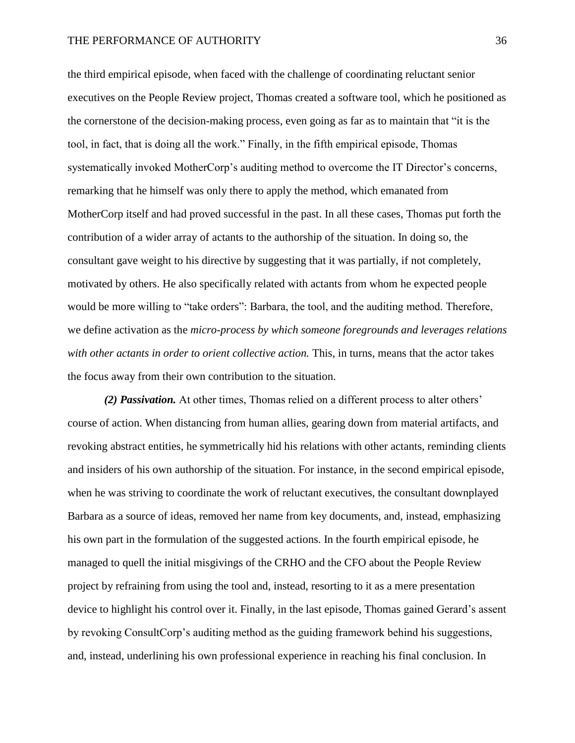the third empirical episode, when faced with the challenge of coordinating reluctant senior executives on the People Review project, Thomas created a software tool, which he positioned as the cornerstone of the decision-making process, even going as far as to maintain that "it is the tool, in fact, that is doing all the work." Finally, in the fifth empirical episode, Thomas systematically invoked MotherCorp's auditing method to overcome the IT Director's concerns, remarking that he himself was only there to apply the method, which emanated from MotherCorp itself and had proved successful in the past. In all these cases, Thomas put forth the contribution of a wider array of actants to the authorship of the situation. In doing so, the consultant gave weight to his directive by suggesting that it was partially, if not completely, motivated by others. He also specifically related with actants from whom he expected people would be more willing to "take orders": Barbara, the tool, and the auditing method. Therefore, we define activation as the *micro-process by which someone foregrounds and leverages relations*  with other actants in order to orient collective action. This, in turns, means that the actor takes the focus away from their own contribution to the situation.

*(2) Passivation.* At other times, Thomas relied on a different process to alter others' course of action. When distancing from human allies, gearing down from material artifacts, and revoking abstract entities, he symmetrically hid his relations with other actants, reminding clients and insiders of his own authorship of the situation. For instance, in the second empirical episode, when he was striving to coordinate the work of reluctant executives, the consultant downplayed Barbara as a source of ideas, removed her name from key documents, and, instead, emphasizing his own part in the formulation of the suggested actions. In the fourth empirical episode, he managed to quell the initial misgivings of the CRHO and the CFO about the People Review project by refraining from using the tool and, instead, resorting to it as a mere presentation device to highlight his control over it. Finally, in the last episode, Thomas gained Gerard's assent by revoking ConsultCorp's auditing method as the guiding framework behind his suggestions, and, instead, underlining his own professional experience in reaching his final conclusion. In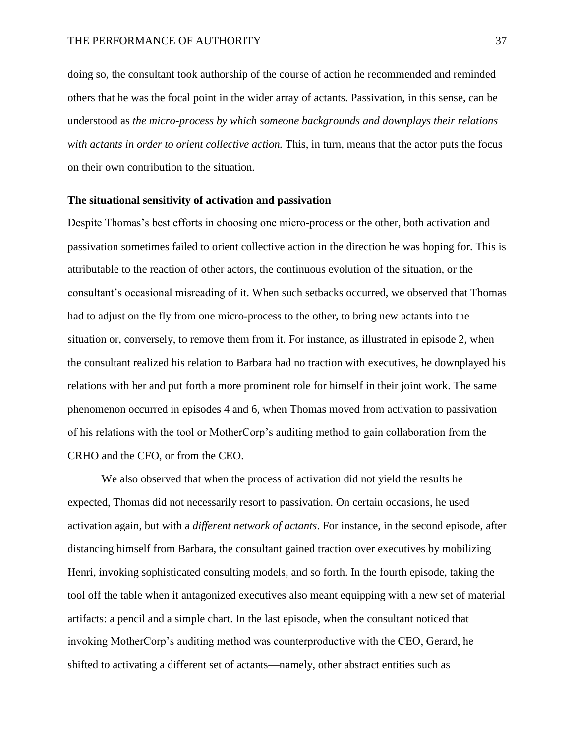doing so, the consultant took authorship of the course of action he recommended and reminded others that he was the focal point in the wider array of actants. Passivation, in this sense, can be understood as *the micro*-*process by which someone backgrounds and downplays their relations with actants in order to orient collective action.* This, in turn, means that the actor puts the focus on their own contribution to the situation*.*

#### **The situational sensitivity of activation and passivation**

Despite Thomas's best efforts in choosing one micro-process or the other, both activation and passivation sometimes failed to orient collective action in the direction he was hoping for. This is attributable to the reaction of other actors, the continuous evolution of the situation, or the consultant's occasional misreading of it. When such setbacks occurred, we observed that Thomas had to adjust on the fly from one micro-process to the other, to bring new actants into the situation or, conversely, to remove them from it. For instance, as illustrated in episode 2, when the consultant realized his relation to Barbara had no traction with executives, he downplayed his relations with her and put forth a more prominent role for himself in their joint work. The same phenomenon occurred in episodes 4 and 6, when Thomas moved from activation to passivation of his relations with the tool or MotherCorp's auditing method to gain collaboration from the CRHO and the CFO, or from the CEO.

We also observed that when the process of activation did not yield the results he expected, Thomas did not necessarily resort to passivation. On certain occasions, he used activation again, but with a *different network of actants*. For instance, in the second episode, after distancing himself from Barbara, the consultant gained traction over executives by mobilizing Henri, invoking sophisticated consulting models, and so forth. In the fourth episode, taking the tool off the table when it antagonized executives also meant equipping with a new set of material artifacts: a pencil and a simple chart. In the last episode, when the consultant noticed that invoking MotherCorp's auditing method was counterproductive with the CEO, Gerard, he shifted to activating a different set of actants—namely, other abstract entities such as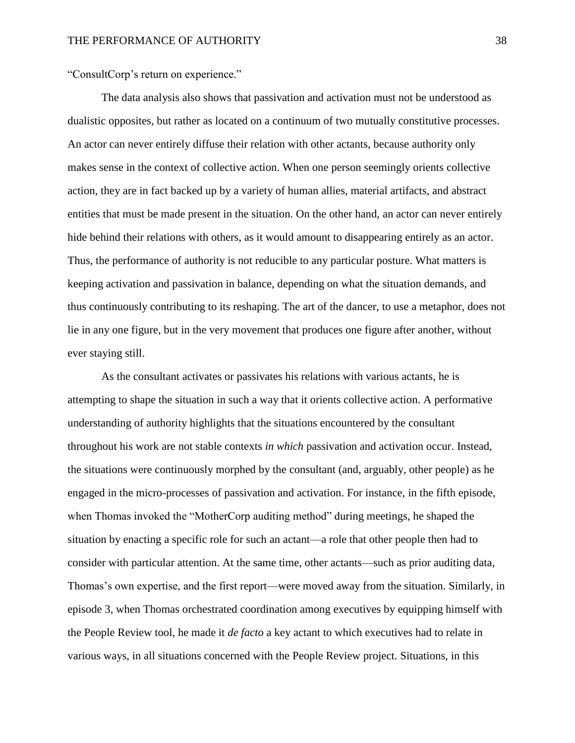"ConsultCorp's return on experience."

The data analysis also shows that passivation and activation must not be understood as dualistic opposites*,* but rather as located on a continuum of two mutually constitutive processes. An actor can never entirely diffuse their relation with other actants, because authority only makes sense in the context of collective action. When one person seemingly orients collective action, they are in fact backed up by a variety of human allies, material artifacts, and abstract entities that must be made present in the situation. On the other hand, an actor can never entirely hide behind their relations with others, as it would amount to disappearing entirely as an actor. Thus, the performance of authority is not reducible to any particular posture. What matters is keeping activation and passivation in balance, depending on what the situation demands, and thus continuously contributing to its reshaping. The art of the dancer, to use a metaphor, does not lie in any one figure, but in the very movement that produces one figure after another, without ever staying still.

As the consultant activates or passivates his relations with various actants, he is attempting to shape the situation in such a way that it orients collective action. A performative understanding of authority highlights that the situations encountered by the consultant throughout his work are not stable contexts *in which* passivation and activation occur. Instead, the situations were continuously morphed by the consultant (and, arguably, other people) as he engaged in the micro-processes of passivation and activation. For instance, in the fifth episode, when Thomas invoked the "MotherCorp auditing method" during meetings, he shaped the situation by enacting a specific role for such an actant—a role that other people then had to consider with particular attention. At the same time, other actants—such as prior auditing data, Thomas's own expertise, and the first report—were moved away from the situation. Similarly, in episode 3, when Thomas orchestrated coordination among executives by equipping himself with the People Review tool, he made it *de facto* a key actant to which executives had to relate in various ways, in all situations concerned with the People Review project. Situations, in this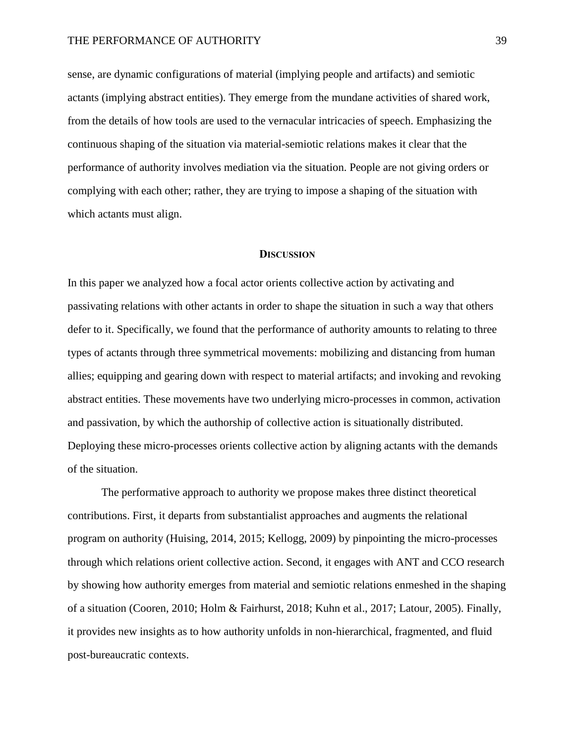sense, are dynamic configurations of material (implying people and artifacts) and semiotic actants (implying abstract entities). They emerge from the mundane activities of shared work, from the details of how tools are used to the vernacular intricacies of speech. Emphasizing the continuous shaping of the situation via material-semiotic relations makes it clear that the performance of authority involves mediation via the situation. People are not giving orders or complying with each other; rather, they are trying to impose a shaping of the situation with which actants must align.

## **DISCUSSION**

In this paper we analyzed how a focal actor orients collective action by activating and passivating relations with other actants in order to shape the situation in such a way that others defer to it. Specifically, we found that the performance of authority amounts to relating to three types of actants through three symmetrical movements: mobilizing and distancing from human allies; equipping and gearing down with respect to material artifacts; and invoking and revoking abstract entities. These movements have two underlying micro-processes in common, activation and passivation, by which the authorship of collective action is situationally distributed. Deploying these micro-processes orients collective action by aligning actants with the demands of the situation.

The performative approach to authority we propose makes three distinct theoretical contributions. First, it departs from substantialist approaches and augments the relational program on authority (Huising, 2014, 2015; Kellogg, 2009) by pinpointing the micro-processes through which relations orient collective action. Second, it engages with ANT and CCO research by showing how authority emerges from material and semiotic relations enmeshed in the shaping of a situation (Cooren, 2010; Holm & Fairhurst, 2018; Kuhn et al., 2017; Latour, 2005). Finally, it provides new insights as to how authority unfolds in non-hierarchical, fragmented, and fluid post-bureaucratic contexts.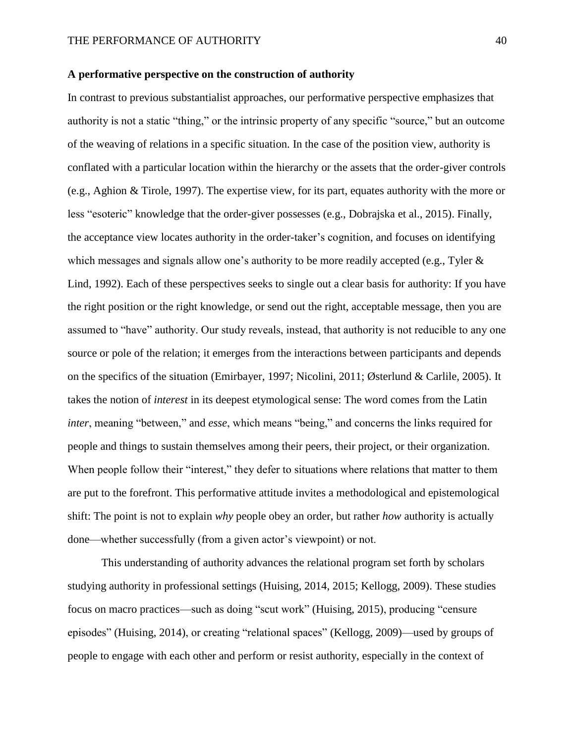## **A performative perspective on the construction of authority**

In contrast to previous substantialist approaches, our performative perspective emphasizes that authority is not a static "thing," or the intrinsic property of any specific "source," but an outcome of the weaving of relations in a specific situation. In the case of the position view, authority is conflated with a particular location within the hierarchy or the assets that the order-giver controls (e.g., Aghion & Tirole, 1997). The expertise view, for its part, equates authority with the more or less "esoteric" knowledge that the order-giver possesses (e.g., Dobrajska et al., 2015). Finally, the acceptance view locates authority in the order-taker's cognition, and focuses on identifying which messages and signals allow one's authority to be more readily accepted (e.g., Tyler & Lind, 1992). Each of these perspectives seeks to single out a clear basis for authority: If you have the right position or the right knowledge, or send out the right, acceptable message, then you are assumed to "have" authority. Our study reveals, instead, that authority is not reducible to any one source or pole of the relation; it emerges from the interactions between participants and depends on the specifics of the situation (Emirbayer, 1997; Nicolini, 2011; Østerlund & Carlile, 2005). It takes the notion of *interest* in its deepest etymological sense: The word comes from the Latin *inter*, meaning "between," and *esse*, which means "being," and concerns the links required for people and things to sustain themselves among their peers, their project, or their organization. When people follow their "interest," they defer to situations where relations that matter to them are put to the forefront. This performative attitude invites a methodological and epistemological shift: The point is not to explain *why* people obey an order, but rather *how* authority is actually done—whether successfully (from a given actor's viewpoint) or not.

This understanding of authority advances the relational program set forth by scholars studying authority in professional settings (Huising, 2014, 2015; Kellogg, 2009). These studies focus on macro practices—such as doing "scut work" (Huising, 2015), producing "censure episodes" (Huising, 2014), or creating "relational spaces" (Kellogg, 2009)—used by groups of people to engage with each other and perform or resist authority, especially in the context of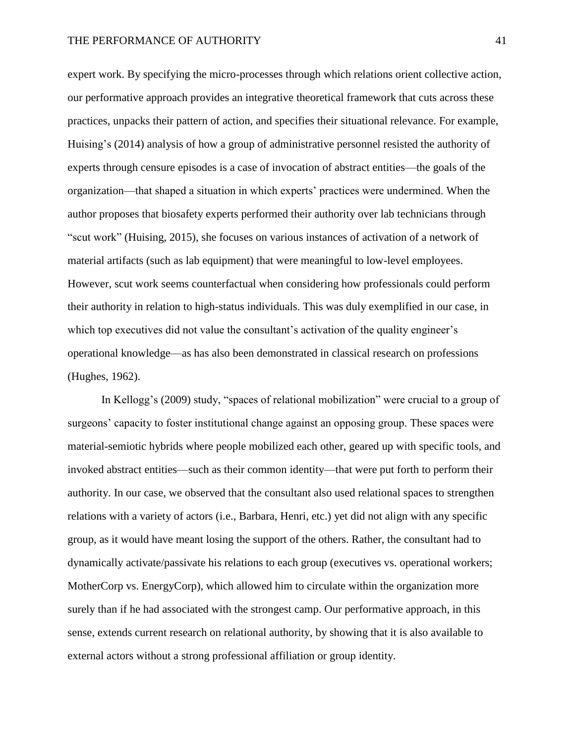expert work. By specifying the micro-processes through which relations orient collective action, our performative approach provides an integrative theoretical framework that cuts across these practices, unpacks their pattern of action, and specifies their situational relevance. For example, Huising's (2014) analysis of how a group of administrative personnel resisted the authority of experts through censure episodes is a case of invocation of abstract entities—the goals of the organization—that shaped a situation in which experts' practices were undermined. When the author proposes that biosafety experts performed their authority over lab technicians through "scut work" (Huising, 2015), she focuses on various instances of activation of a network of material artifacts (such as lab equipment) that were meaningful to low-level employees. However, scut work seems counterfactual when considering how professionals could perform their authority in relation to high-status individuals. This was duly exemplified in our case, in which top executives did not value the consultant's activation of the quality engineer's operational knowledge—as has also been demonstrated in classical research on professions (Hughes, 1962).

In Kellogg's (2009) study, "spaces of relational mobilization" were crucial to a group of surgeons' capacity to foster institutional change against an opposing group. These spaces were material-semiotic hybrids where people mobilized each other, geared up with specific tools, and invoked abstract entities—such as their common identity—that were put forth to perform their authority. In our case, we observed that the consultant also used relational spaces to strengthen relations with a variety of actors (i.e., Barbara, Henri, etc.) yet did not align with any specific group, as it would have meant losing the support of the others. Rather, the consultant had to dynamically activate/passivate his relations to each group (executives vs. operational workers; MotherCorp vs. EnergyCorp), which allowed him to circulate within the organization more surely than if he had associated with the strongest camp. Our performative approach, in this sense, extends current research on relational authority, by showing that it is also available to external actors without a strong professional affiliation or group identity.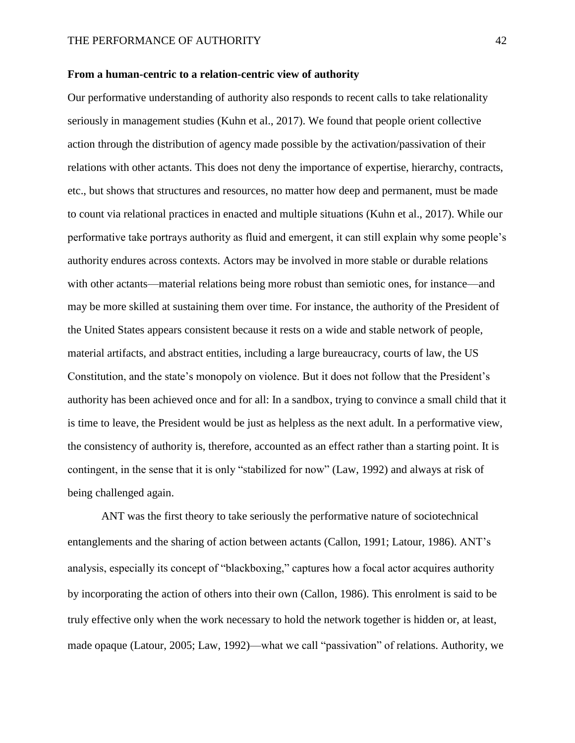## **From a human-centric to a relation-centric view of authority**

Our performative understanding of authority also responds to recent calls to take relationality seriously in management studies (Kuhn et al., 2017). We found that people orient collective action through the distribution of agency made possible by the activation/passivation of their relations with other actants. This does not deny the importance of expertise, hierarchy, contracts, etc., but shows that structures and resources, no matter how deep and permanent, must be made to count via relational practices in enacted and multiple situations (Kuhn et al., 2017). While our performative take portrays authority as fluid and emergent, it can still explain why some people's authority endures across contexts. Actors may be involved in more stable or durable relations with other actants—material relations being more robust than semiotic ones, for instance—and may be more skilled at sustaining them over time. For instance, the authority of the President of the United States appears consistent because it rests on a wide and stable network of people, material artifacts, and abstract entities, including a large bureaucracy, courts of law, the US Constitution, and the state's monopoly on violence. But it does not follow that the President's authority has been achieved once and for all: In a sandbox, trying to convince a small child that it is time to leave, the President would be just as helpless as the next adult. In a performative view, the consistency of authority is, therefore, accounted as an effect rather than a starting point. It is contingent, in the sense that it is only "stabilized for now" (Law, 1992) and always at risk of being challenged again.

ANT was the first theory to take seriously the performative nature of sociotechnical entanglements and the sharing of action between actants (Callon, 1991; Latour, 1986). ANT's analysis, especially its concept of "blackboxing," captures how a focal actor acquires authority by incorporating the action of others into their own (Callon, 1986). This enrolment is said to be truly effective only when the work necessary to hold the network together is hidden or, at least, made opaque (Latour, 2005; Law, 1992)—what we call "passivation" of relations. Authority, we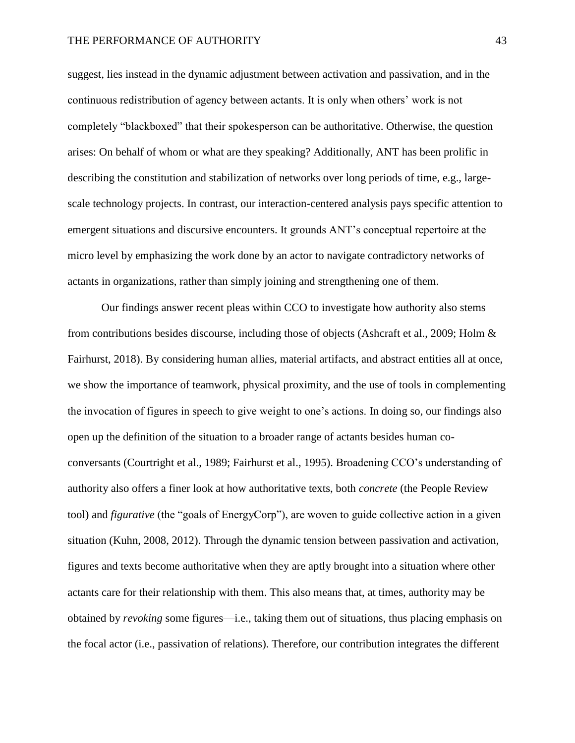suggest, lies instead in the dynamic adjustment between activation and passivation, and in the continuous redistribution of agency between actants. It is only when others' work is not completely "blackboxed" that their spokesperson can be authoritative. Otherwise, the question arises: On behalf of whom or what are they speaking? Additionally, ANT has been prolific in describing the constitution and stabilization of networks over long periods of time, e.g., largescale technology projects. In contrast, our interaction-centered analysis pays specific attention to emergent situations and discursive encounters. It grounds ANT's conceptual repertoire at the micro level by emphasizing the work done by an actor to navigate contradictory networks of actants in organizations, rather than simply joining and strengthening one of them.

Our findings answer recent pleas within CCO to investigate how authority also stems from contributions besides discourse, including those of objects (Ashcraft et al., 2009; Holm & Fairhurst, 2018). By considering human allies, material artifacts, and abstract entities all at once, we show the importance of teamwork, physical proximity, and the use of tools in complementing the invocation of figures in speech to give weight to one's actions. In doing so, our findings also open up the definition of the situation to a broader range of actants besides human coconversants (Courtright et al., 1989; Fairhurst et al., 1995). Broadening CCO's understanding of authority also offers a finer look at how authoritative texts, both *concrete* (the People Review tool) and *figurative* (the "goals of EnergyCorp"), are woven to guide collective action in a given situation (Kuhn, 2008, 2012). Through the dynamic tension between passivation and activation, figures and texts become authoritative when they are aptly brought into a situation where other actants care for their relationship with them. This also means that, at times, authority may be obtained by *revoking* some figures—i.e., taking them out of situations, thus placing emphasis on the focal actor (i.e., passivation of relations). Therefore, our contribution integrates the different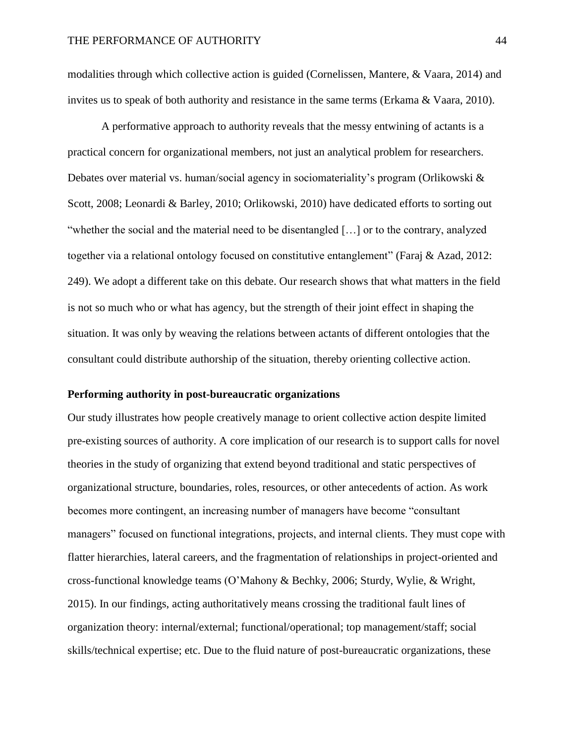modalities through which collective action is guided (Cornelissen, Mantere, & Vaara, 2014) and invites us to speak of both authority and resistance in the same terms (Erkama  $\&$  Vaara, 2010).

A performative approach to authority reveals that the messy entwining of actants is a practical concern for organizational members, not just an analytical problem for researchers. Debates over material vs. human/social agency in sociomateriality's program (Orlikowski & Scott, 2008; Leonardi & Barley, 2010; Orlikowski, 2010) have dedicated efforts to sorting out "whether the social and the material need to be disentangled […] or to the contrary, analyzed together via a relational ontology focused on constitutive entanglement" (Faraj & Azad, 2012: 249). We adopt a different take on this debate. Our research shows that what matters in the field is not so much who or what has agency, but the strength of their joint effect in shaping the situation. It was only by weaving the relations between actants of different ontologies that the consultant could distribute authorship of the situation, thereby orienting collective action.

#### **Performing authority in post-bureaucratic organizations**

Our study illustrates how people creatively manage to orient collective action despite limited pre-existing sources of authority. A core implication of our research is to support calls for novel theories in the study of organizing that extend beyond traditional and static perspectives of organizational structure, boundaries, roles, resources, or other antecedents of action. As work becomes more contingent, an increasing number of managers have become "consultant managers" focused on functional integrations, projects, and internal clients. They must cope with flatter hierarchies, lateral careers, and the fragmentation of relationships in project-oriented and cross-functional knowledge teams (O'Mahony & Bechky, 2006; Sturdy, Wylie, & Wright, 2015). In our findings, acting authoritatively means crossing the traditional fault lines of organization theory: internal/external; functional/operational; top management/staff; social skills/technical expertise; etc. Due to the fluid nature of post-bureaucratic organizations, these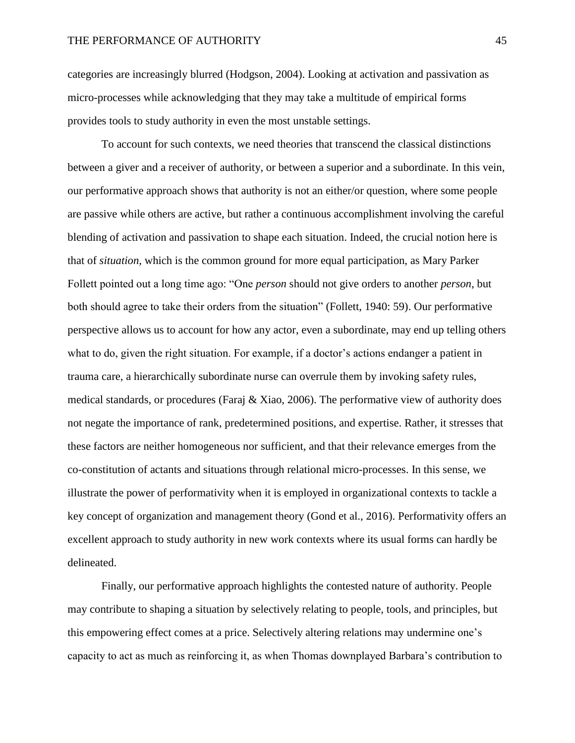categories are increasingly blurred (Hodgson, 2004). Looking at activation and passivation as micro-processes while acknowledging that they may take a multitude of empirical forms provides tools to study authority in even the most unstable settings.

To account for such contexts, we need theories that transcend the classical distinctions between a giver and a receiver of authority, or between a superior and a subordinate. In this vein, our performative approach shows that authority is not an either/or question, where some people are passive while others are active, but rather a continuous accomplishment involving the careful blending of activation and passivation to shape each situation. Indeed, the crucial notion here is that of *situation*, which is the common ground for more equal participation, as Mary Parker Follett pointed out a long time ago: "One *person* should not give orders to another *person*, but both should agree to take their orders from the situation" (Follett, 1940: 59). Our performative perspective allows us to account for how any actor, even a subordinate, may end up telling others what to do, given the right situation. For example, if a doctor's actions endanger a patient in trauma care, a hierarchically subordinate nurse can overrule them by invoking safety rules, medical standards, or procedures (Faraj & Xiao, 2006). The performative view of authority does not negate the importance of rank, predetermined positions, and expertise. Rather, it stresses that these factors are neither homogeneous nor sufficient, and that their relevance emerges from the co-constitution of actants and situations through relational micro-processes. In this sense, we illustrate the power of performativity when it is employed in organizational contexts to tackle a key concept of organization and management theory (Gond et al., 2016). Performativity offers an excellent approach to study authority in new work contexts where its usual forms can hardly be delineated.

Finally, our performative approach highlights the contested nature of authority. People may contribute to shaping a situation by selectively relating to people, tools, and principles, but this empowering effect comes at a price. Selectively altering relations may undermine one's capacity to act as much as reinforcing it, as when Thomas downplayed Barbara's contribution to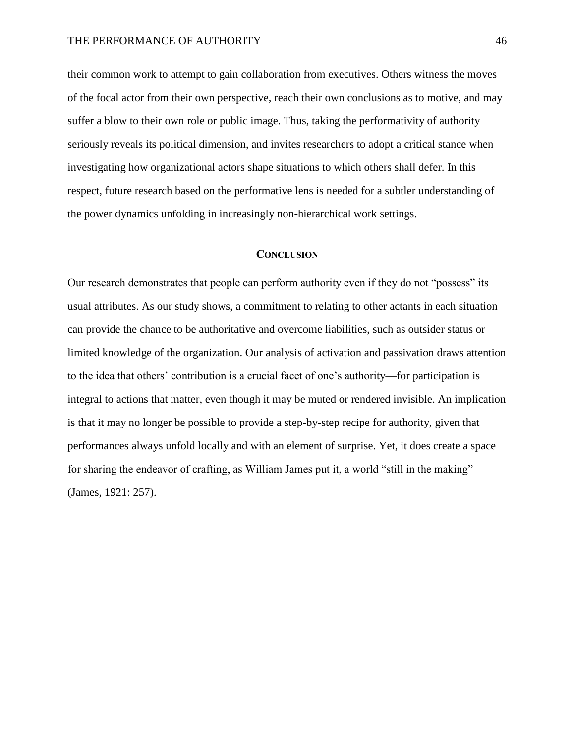their common work to attempt to gain collaboration from executives. Others witness the moves of the focal actor from their own perspective, reach their own conclusions as to motive, and may suffer a blow to their own role or public image. Thus, taking the performativity of authority seriously reveals its political dimension, and invites researchers to adopt a critical stance when investigating how organizational actors shape situations to which others shall defer. In this respect, future research based on the performative lens is needed for a subtler understanding of the power dynamics unfolding in increasingly non-hierarchical work settings.

## **CONCLUSION**

Our research demonstrates that people can perform authority even if they do not "possess" its usual attributes. As our study shows, a commitment to relating to other actants in each situation can provide the chance to be authoritative and overcome liabilities, such as outsider status or limited knowledge of the organization. Our analysis of activation and passivation draws attention to the idea that others' contribution is a crucial facet of one's authority—for participation is integral to actions that matter, even though it may be muted or rendered invisible. An implication is that it may no longer be possible to provide a step-by-step recipe for authority, given that performances always unfold locally and with an element of surprise. Yet, it does create a space for sharing the endeavor of crafting, as William James put it, a world "still in the making" (James, 1921: 257).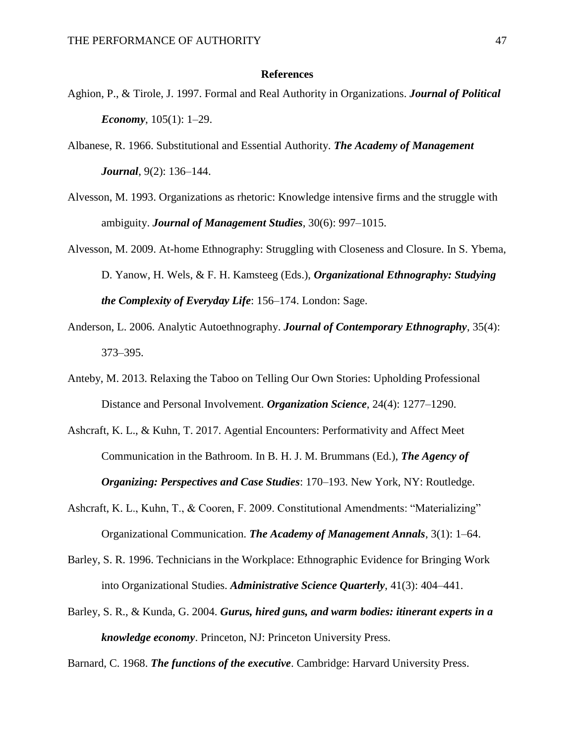## **References**

- Aghion, P., & Tirole, J. 1997. Formal and Real Authority in Organizations. *Journal of Political Economy*, 105(1): 1–29.
- Albanese, R. 1966. Substitutional and Essential Authority. *The Academy of Management Journal*, 9(2): 136–144.
- Alvesson, M. 1993. Organizations as rhetoric: Knowledge intensive firms and the struggle with ambiguity. *Journal of Management Studies*, 30(6): 997–1015.
- Alvesson, M. 2009. At-home Ethnography: Struggling with Closeness and Closure. In S. Ybema, D. Yanow, H. Wels, & F. H. Kamsteeg (Eds.), *Organizational Ethnography: Studying the Complexity of Everyday Life*: 156–174. London: Sage.
- Anderson, L. 2006. Analytic Autoethnography. *Journal of Contemporary Ethnography*, 35(4): 373–395.
- Anteby, M. 2013. Relaxing the Taboo on Telling Our Own Stories: Upholding Professional Distance and Personal Involvement. *Organization Science*, 24(4): 1277–1290.
- Ashcraft, K. L., & Kuhn, T. 2017. Agential Encounters: Performativity and Affect Meet Communication in the Bathroom. In B. H. J. M. Brummans (Ed.), *The Agency of Organizing: Perspectives and Case Studies*: 170–193. New York, NY: Routledge.
- Ashcraft, K. L., Kuhn, T., & Cooren, F. 2009. Constitutional Amendments: "Materializing" Organizational Communication. *The Academy of Management Annals*, 3(1): 1–64.
- Barley, S. R. 1996. Technicians in the Workplace: Ethnographic Evidence for Bringing Work into Organizational Studies. *Administrative Science Quarterly*, 41(3): 404–441.
- Barley, S. R., & Kunda, G. 2004. *Gurus, hired guns, and warm bodies: itinerant experts in a knowledge economy*. Princeton, NJ: Princeton University Press.

Barnard, C. 1968. *The functions of the executive*. Cambridge: Harvard University Press.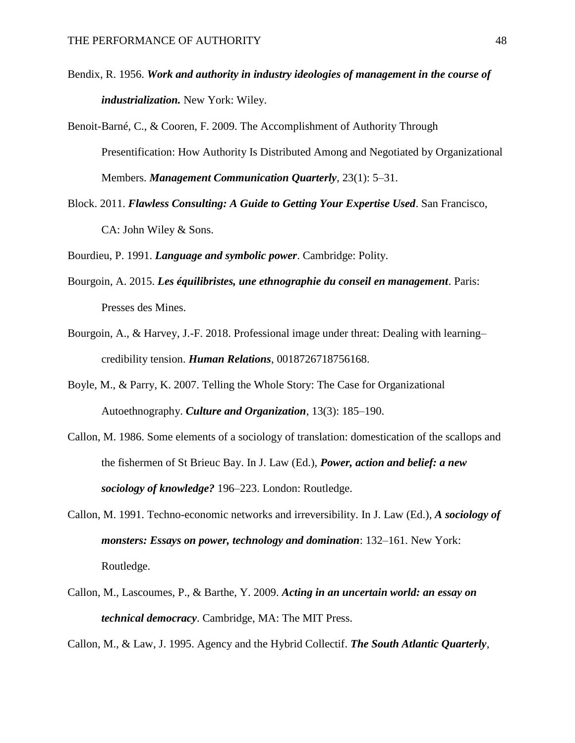- Bendix, R. 1956. *Work and authority in industry ideologies of management in the course of industrialization.* New York: Wiley.
- Benoit-Barné, C., & Cooren, F. 2009. The Accomplishment of Authority Through Presentification: How Authority Is Distributed Among and Negotiated by Organizational Members. *Management Communication Quarterly*, 23(1): 5–31.
- Block. 2011. *Flawless Consulting: A Guide to Getting Your Expertise Used*. San Francisco, CA: John Wiley & Sons.

Bourdieu, P. 1991. *Language and symbolic power*. Cambridge: Polity.

- Bourgoin, A. 2015. *Les équilibristes, une ethnographie du conseil en management*. Paris: Presses des Mines.
- Bourgoin, A., & Harvey, J.-F. 2018. Professional image under threat: Dealing with learning– credibility tension. *Human Relations*, 0018726718756168.
- Boyle, M., & Parry, K. 2007. Telling the Whole Story: The Case for Organizational Autoethnography. *Culture and Organization*, 13(3): 185–190.
- Callon, M. 1986. Some elements of a sociology of translation: domestication of the scallops and the fishermen of St Brieuc Bay. In J. Law (Ed.), *Power, action and belief: a new sociology of knowledge?* 196–223. London: Routledge.
- Callon, M. 1991. Techno-economic networks and irreversibility. In J. Law (Ed.), *A sociology of monsters: Essays on power, technology and domination*: 132–161. New York: Routledge.
- Callon, M., Lascoumes, P., & Barthe, Y. 2009. *Acting in an uncertain world: an essay on technical democracy*. Cambridge, MA: The MIT Press.

Callon, M., & Law, J. 1995. Agency and the Hybrid Collectif. *The South Atlantic Quarterly*,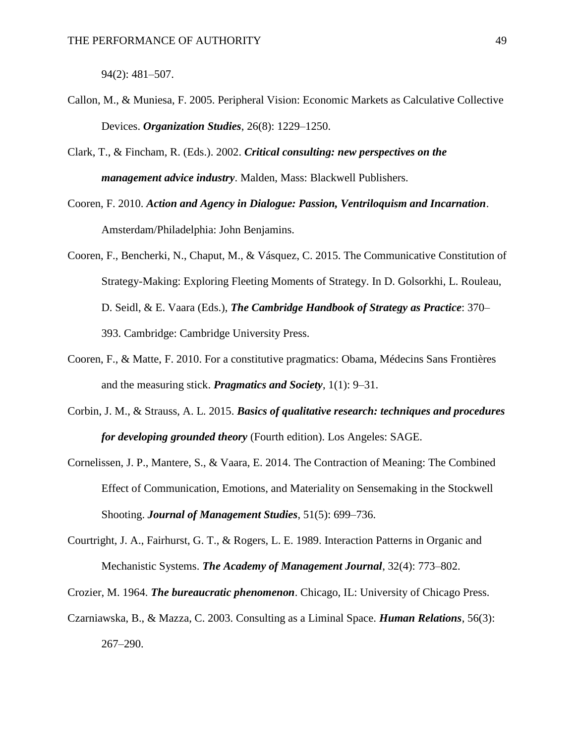94(2): 481–507.

- Callon, M., & Muniesa, F. 2005. Peripheral Vision: Economic Markets as Calculative Collective Devices. *Organization Studies*, 26(8): 1229–1250.
- Clark, T., & Fincham, R. (Eds.). 2002. *Critical consulting: new perspectives on the management advice industry*. Malden, Mass: Blackwell Publishers.
- Cooren, F. 2010. *Action and Agency in Dialogue: Passion, Ventriloquism and Incarnation*. Amsterdam/Philadelphia: John Benjamins.
- Cooren, F., Bencherki, N., Chaput, M., & Vásquez, C. 2015. The Communicative Constitution of Strategy-Making: Exploring Fleeting Moments of Strategy. In D. Golsorkhi, L. Rouleau, D. Seidl, & E. Vaara (Eds.), *The Cambridge Handbook of Strategy as Practice*: 370– 393. Cambridge: Cambridge University Press.
- Cooren, F., & Matte, F. 2010. For a constitutive pragmatics: Obama, Médecins Sans Frontières and the measuring stick. *Pragmatics and Society*, 1(1): 9–31.
- Corbin, J. M., & Strauss, A. L. 2015. *Basics of qualitative research: techniques and procedures for developing grounded theory* (Fourth edition). Los Angeles: SAGE.
- Cornelissen, J. P., Mantere, S., & Vaara, E. 2014. The Contraction of Meaning: The Combined Effect of Communication, Emotions, and Materiality on Sensemaking in the Stockwell Shooting. *Journal of Management Studies*, 51(5): 699–736.
- Courtright, J. A., Fairhurst, G. T., & Rogers, L. E. 1989. Interaction Patterns in Organic and Mechanistic Systems. *The Academy of Management Journal*, 32(4): 773–802.
- Crozier, M. 1964. *The bureaucratic phenomenon*. Chicago, IL: University of Chicago Press.
- Czarniawska, B., & Mazza, C. 2003. Consulting as a Liminal Space. *Human Relations*, 56(3): 267–290.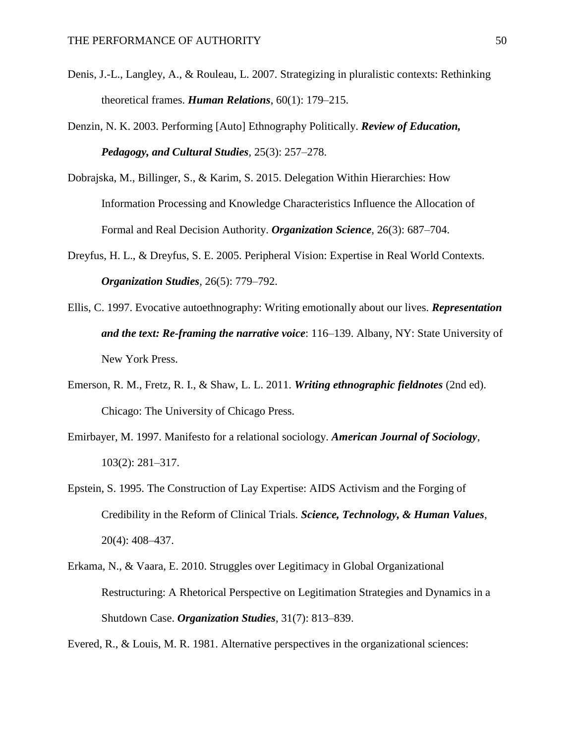- Denis, J.-L., Langley, A., & Rouleau, L. 2007. Strategizing in pluralistic contexts: Rethinking theoretical frames. *Human Relations*, 60(1): 179–215.
- Denzin, N. K. 2003. Performing [Auto] Ethnography Politically. *Review of Education, Pedagogy, and Cultural Studies*, 25(3): 257–278.
- Dobrajska, M., Billinger, S., & Karim, S. 2015. Delegation Within Hierarchies: How Information Processing and Knowledge Characteristics Influence the Allocation of Formal and Real Decision Authority. *Organization Science*, 26(3): 687–704.
- Dreyfus, H. L., & Dreyfus, S. E. 2005. Peripheral Vision: Expertise in Real World Contexts. *Organization Studies*, 26(5): 779–792.
- Ellis, C. 1997. Evocative autoethnography: Writing emotionally about our lives. *Representation and the text: Re-framing the narrative voice*: 116–139. Albany, NY: State University of New York Press.
- Emerson, R. M., Fretz, R. I., & Shaw, L. L. 2011. *Writing ethnographic fieldnotes* (2nd ed). Chicago: The University of Chicago Press.
- Emirbayer, M. 1997. Manifesto for a relational sociology. *American Journal of Sociology*, 103(2): 281–317.
- Epstein, S. 1995. The Construction of Lay Expertise: AIDS Activism and the Forging of Credibility in the Reform of Clinical Trials. *Science, Technology, & Human Values*, 20(4): 408–437.
- Erkama, N., & Vaara, E. 2010. Struggles over Legitimacy in Global Organizational Restructuring: A Rhetorical Perspective on Legitimation Strategies and Dynamics in a Shutdown Case. *Organization Studies*, 31(7): 813–839.

Evered, R., & Louis, M. R. 1981. Alternative perspectives in the organizational sciences: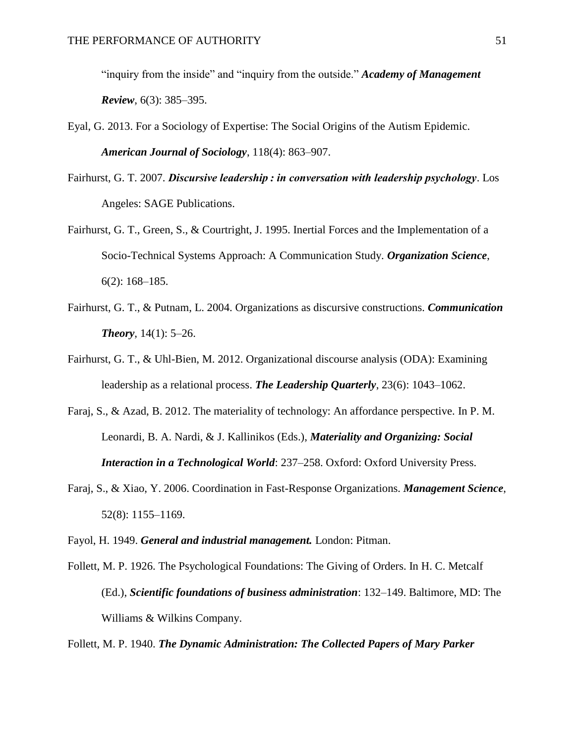"inquiry from the inside" and "inquiry from the outside." *Academy of Management Review*, 6(3): 385–395.

- Eyal, G. 2013. For a Sociology of Expertise: The Social Origins of the Autism Epidemic. *American Journal of Sociology*, 118(4): 863–907.
- Fairhurst, G. T. 2007. *Discursive leadership : in conversation with leadership psychology*. Los Angeles: SAGE Publications.
- Fairhurst, G. T., Green, S., & Courtright, J. 1995. Inertial Forces and the Implementation of a Socio-Technical Systems Approach: A Communication Study. *Organization Science*, 6(2): 168–185.
- Fairhurst, G. T., & Putnam, L. 2004. Organizations as discursive constructions. *Communication Theory*, 14(1): 5–26.
- Fairhurst, G. T., & Uhl-Bien, M. 2012. Organizational discourse analysis (ODA): Examining leadership as a relational process. *The Leadership Quarterly*, 23(6): 1043–1062.
- Faraj, S., & Azad, B. 2012. The materiality of technology: An affordance perspective. In P. M. Leonardi, B. A. Nardi, & J. Kallinikos (Eds.), *Materiality and Organizing: Social Interaction in a Technological World*: 237–258. Oxford: Oxford University Press.
- Faraj, S., & Xiao, Y. 2006. Coordination in Fast-Response Organizations. *Management Science*, 52(8): 1155–1169.
- Fayol, H. 1949. *General and industrial management.* London: Pitman.
- Follett, M. P. 1926. The Psychological Foundations: The Giving of Orders. In H. C. Metcalf (Ed.), *Scientific foundations of business administration*: 132–149. Baltimore, MD: The Williams & Wilkins Company.

Follett, M. P. 1940. *The Dynamic Administration: The Collected Papers of Mary Parker*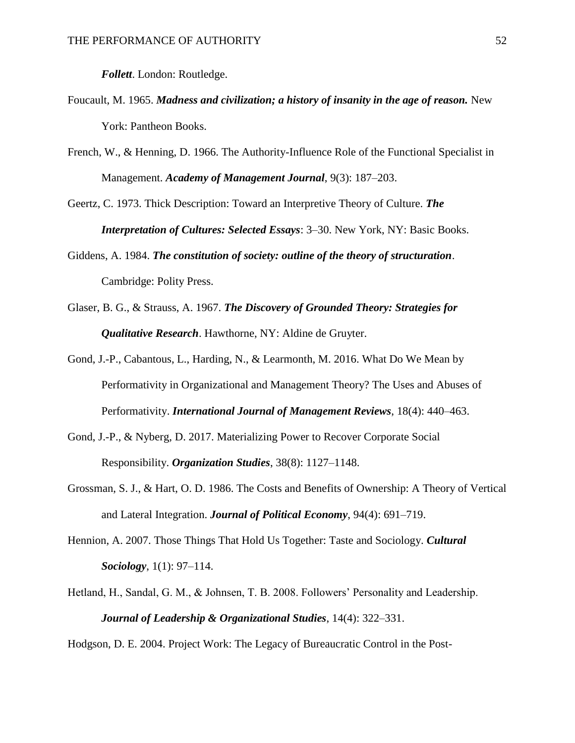*Follett*. London: Routledge.

- Foucault, M. 1965. *Madness and civilization; a history of insanity in the age of reason.* New York: Pantheon Books.
- French, W., & Henning, D. 1966. The Authority-Influence Role of the Functional Specialist in Management. *Academy of Management Journal*, 9(3): 187–203.

Geertz, C. 1973. Thick Description: Toward an Interpretive Theory of Culture. *The Interpretation of Cultures: Selected Essays*: 3–30. New York, NY: Basic Books.

- Giddens, A. 1984. *The constitution of society: outline of the theory of structuration*. Cambridge: Polity Press.
- Glaser, B. G., & Strauss, A. 1967. *The Discovery of Grounded Theory: Strategies for Qualitative Research*. Hawthorne, NY: Aldine de Gruyter.
- Gond, J.-P., Cabantous, L., Harding, N., & Learmonth, M. 2016. What Do We Mean by Performativity in Organizational and Management Theory? The Uses and Abuses of Performativity. *International Journal of Management Reviews*, 18(4): 440–463.
- Gond, J.-P., & Nyberg, D. 2017. Materializing Power to Recover Corporate Social Responsibility. *Organization Studies*, 38(8): 1127–1148.
- Grossman, S. J., & Hart, O. D. 1986. The Costs and Benefits of Ownership: A Theory of Vertical and Lateral Integration. *Journal of Political Economy*, 94(4): 691–719.
- Hennion, A. 2007. Those Things That Hold Us Together: Taste and Sociology. *Cultural Sociology*, 1(1): 97–114.
- Hetland, H., Sandal, G. M., & Johnsen, T. B. 2008. Followers' Personality and Leadership. *Journal of Leadership & Organizational Studies*, 14(4): 322–331.

Hodgson, D. E. 2004. Project Work: The Legacy of Bureaucratic Control in the Post-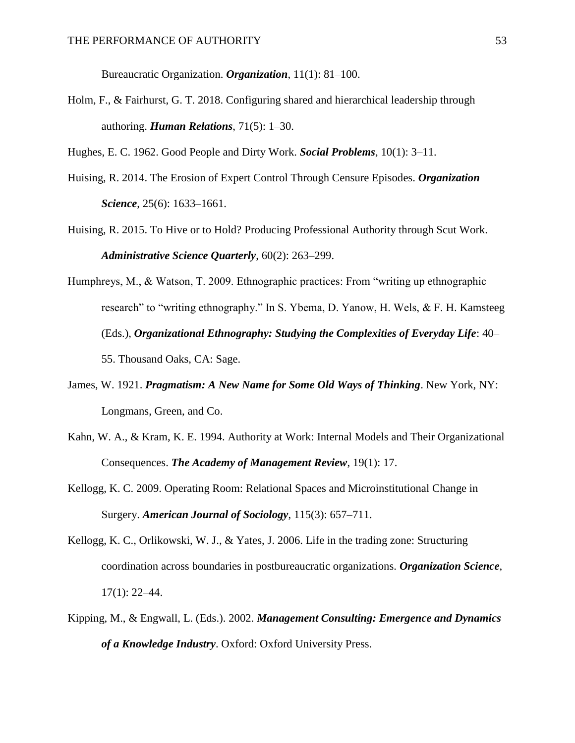Bureaucratic Organization. *Organization*, 11(1): 81–100.

Holm, F., & Fairhurst, G. T. 2018. Configuring shared and hierarchical leadership through authoring. *Human Relations*, 71(5): 1–30.

Hughes, E. C. 1962. Good People and Dirty Work. *Social Problems*, 10(1): 3–11.

- Huising, R. 2014. The Erosion of Expert Control Through Censure Episodes. *Organization Science*, 25(6): 1633–1661.
- Huising, R. 2015. To Hive or to Hold? Producing Professional Authority through Scut Work. *Administrative Science Quarterly*, 60(2): 263–299.
- Humphreys, M., & Watson, T. 2009. Ethnographic practices: From "writing up ethnographic research" to "writing ethnography." In S. Ybema, D. Yanow, H. Wels, & F. H. Kamsteeg (Eds.), *Organizational Ethnography: Studying the Complexities of Everyday Life*: 40– 55. Thousand Oaks, CA: Sage.
- James, W. 1921. *Pragmatism: A New Name for Some Old Ways of Thinking*. New York, NY: Longmans, Green, and Co.
- Kahn, W. A., & Kram, K. E. 1994. Authority at Work: Internal Models and Their Organizational Consequences. *The Academy of Management Review*, 19(1): 17.
- Kellogg, K. C. 2009. Operating Room: Relational Spaces and Microinstitutional Change in Surgery. *American Journal of Sociology*, 115(3): 657–711.
- Kellogg, K. C., Orlikowski, W. J., & Yates, J. 2006. Life in the trading zone: Structuring coordination across boundaries in postbureaucratic organizations. *Organization Science*,  $17(1)$ : 22–44.
- Kipping, M., & Engwall, L. (Eds.). 2002. *Management Consulting: Emergence and Dynamics of a Knowledge Industry*. Oxford: Oxford University Press.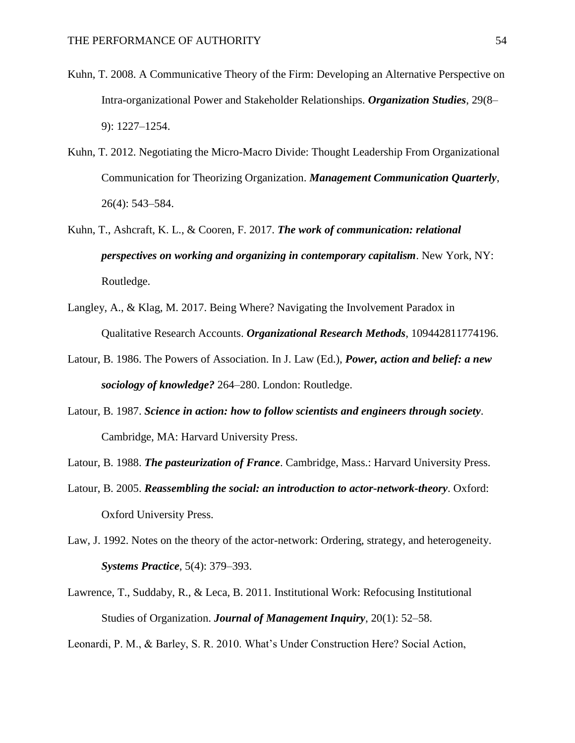- Kuhn, T. 2008. A Communicative Theory of the Firm: Developing an Alternative Perspective on Intra-organizational Power and Stakeholder Relationships. *Organization Studies*, 29(8– 9): 1227–1254.
- Kuhn, T. 2012. Negotiating the Micro-Macro Divide: Thought Leadership From Organizational Communication for Theorizing Organization. *Management Communication Quarterly*, 26(4): 543–584.
- Kuhn, T., Ashcraft, K. L., & Cooren, F. 2017. *The work of communication: relational perspectives on working and organizing in contemporary capitalism*. New York, NY: Routledge.
- Langley, A., & Klag, M. 2017. Being Where? Navigating the Involvement Paradox in Qualitative Research Accounts. *Organizational Research Methods*, 109442811774196.
- Latour, B. 1986. The Powers of Association. In J. Law (Ed.), *Power, action and belief: a new sociology of knowledge?* 264–280. London: Routledge.
- Latour, B. 1987. *Science in action: how to follow scientists and engineers through society*. Cambridge, MA: Harvard University Press.
- Latour, B. 1988. *The pasteurization of France*. Cambridge, Mass.: Harvard University Press.
- Latour, B. 2005. *Reassembling the social: an introduction to actor-network-theory*. Oxford: Oxford University Press.
- Law, J. 1992. Notes on the theory of the actor-network: Ordering, strategy, and heterogeneity. *Systems Practice*, 5(4): 379–393.
- Lawrence, T., Suddaby, R., & Leca, B. 2011. Institutional Work: Refocusing Institutional Studies of Organization. *Journal of Management Inquiry*, 20(1): 52–58.

Leonardi, P. M., & Barley, S. R. 2010. What's Under Construction Here? Social Action,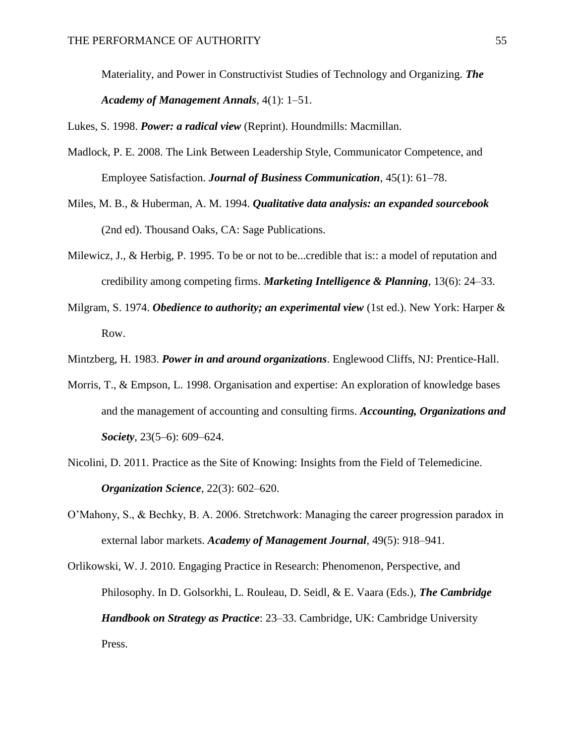Materiality, and Power in Constructivist Studies of Technology and Organizing. *The Academy of Management Annals*, 4(1): 1–51.

Lukes, S. 1998. *Power: a radical view* (Reprint). Houndmills: Macmillan.

- Madlock, P. E. 2008. The Link Between Leadership Style, Communicator Competence, and Employee Satisfaction. *Journal of Business Communication*, 45(1): 61–78.
- Miles, M. B., & Huberman, A. M. 1994. *Qualitative data analysis: an expanded sourcebook* (2nd ed). Thousand Oaks, CA: Sage Publications.
- Milewicz, J., & Herbig, P. 1995. To be or not to be...credible that is:: a model of reputation and credibility among competing firms. *Marketing Intelligence & Planning*, 13(6): 24–33.
- Milgram, S. 1974. *Obedience to authority; an experimental view* (1st ed.). New York: Harper & Row.
- Mintzberg, H. 1983. *Power in and around organizations*. Englewood Cliffs, NJ: Prentice-Hall.
- Morris, T., & Empson, L. 1998. Organisation and expertise: An exploration of knowledge bases and the management of accounting and consulting firms. *Accounting, Organizations and Society*, 23(5–6): 609–624.
- Nicolini, D. 2011. Practice as the Site of Knowing: Insights from the Field of Telemedicine. *Organization Science*, 22(3): 602–620.
- O'Mahony, S., & Bechky, B. A. 2006. Stretchwork: Managing the career progression paradox in external labor markets. *Academy of Management Journal*, 49(5): 918–941.

Orlikowski, W. J. 2010. Engaging Practice in Research: Phenomenon, Perspective, and Philosophy. In D. Golsorkhi, L. Rouleau, D. Seidl, & E. Vaara (Eds.), *The Cambridge Handbook on Strategy as Practice*: 23–33. Cambridge, UK: Cambridge University Press.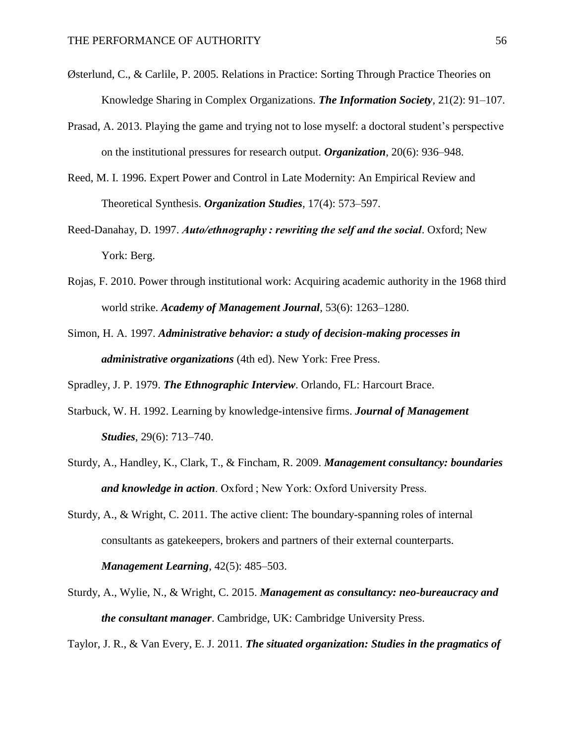- Østerlund, C., & Carlile, P. 2005. Relations in Practice: Sorting Through Practice Theories on Knowledge Sharing in Complex Organizations. *The Information Society*, 21(2): 91–107.
- Prasad, A. 2013. Playing the game and trying not to lose myself: a doctoral student's perspective on the institutional pressures for research output. *Organization*, 20(6): 936–948.
- Reed, M. I. 1996. Expert Power and Control in Late Modernity: An Empirical Review and Theoretical Synthesis. *Organization Studies*, 17(4): 573–597.
- Reed-Danahay, D. 1997. *Auto/ethnography : rewriting the self and the social*. Oxford; New York: Berg.
- Rojas, F. 2010. Power through institutional work: Acquiring academic authority in the 1968 third world strike. *Academy of Management Journal*, 53(6): 1263–1280.
- Simon, H. A. 1997. *Administrative behavior: a study of decision-making processes in administrative organizations* (4th ed). New York: Free Press.

Spradley, J. P. 1979. *The Ethnographic Interview*. Orlando, FL: Harcourt Brace.

- Starbuck, W. H. 1992. Learning by knowledge-intensive firms. *Journal of Management Studies*, 29(6): 713–740.
- Sturdy, A., Handley, K., Clark, T., & Fincham, R. 2009. *Management consultancy: boundaries and knowledge in action*. Oxford ; New York: Oxford University Press.
- Sturdy, A., & Wright, C. 2011. The active client: The boundary-spanning roles of internal consultants as gatekeepers, brokers and partners of their external counterparts. *Management Learning*, 42(5): 485–503.
- Sturdy, A., Wylie, N., & Wright, C. 2015. *Management as consultancy: neo-bureaucracy and the consultant manager*. Cambridge, UK: Cambridge University Press.

Taylor, J. R., & Van Every, E. J. 2011. *The situated organization: Studies in the pragmatics of*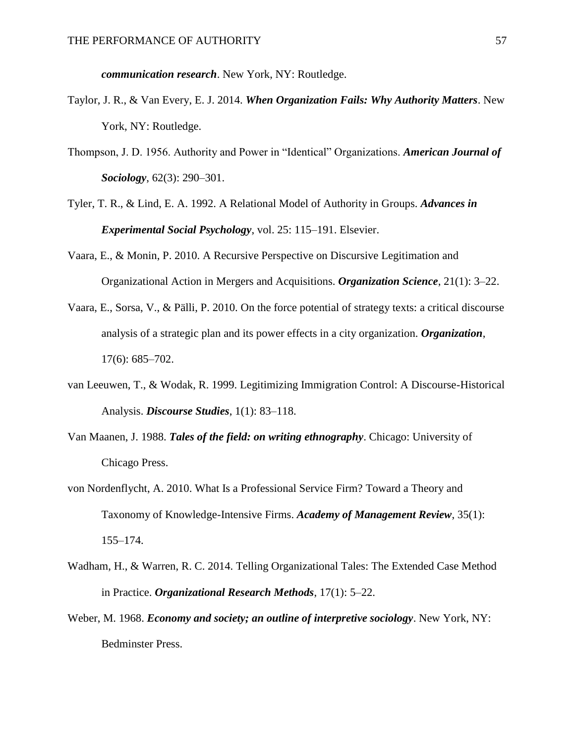*communication research*. New York, NY: Routledge.

- Taylor, J. R., & Van Every, E. J. 2014. *When Organization Fails: Why Authority Matters*. New York, NY: Routledge.
- Thompson, J. D. 1956. Authority and Power in "Identical" Organizations. *American Journal of Sociology*, 62(3): 290–301.
- Tyler, T. R., & Lind, E. A. 1992. A Relational Model of Authority in Groups. *Advances in Experimental Social Psychology*, vol. 25: 115–191. Elsevier.
- Vaara, E., & Monin, P. 2010. A Recursive Perspective on Discursive Legitimation and Organizational Action in Mergers and Acquisitions. *Organization Science*, 21(1): 3–22.
- Vaara, E., Sorsa, V., & Pälli, P. 2010. On the force potential of strategy texts: a critical discourse analysis of a strategic plan and its power effects in a city organization. *Organization*, 17(6): 685–702.
- van Leeuwen, T., & Wodak, R. 1999. Legitimizing Immigration Control: A Discourse-Historical Analysis. *Discourse Studies*, 1(1): 83–118.
- Van Maanen, J. 1988. *Tales of the field: on writing ethnography*. Chicago: University of Chicago Press.
- von Nordenflycht, A. 2010. What Is a Professional Service Firm? Toward a Theory and Taxonomy of Knowledge-Intensive Firms. *Academy of Management Review*, 35(1): 155–174.
- Wadham, H., & Warren, R. C. 2014. Telling Organizational Tales: The Extended Case Method in Practice. *Organizational Research Methods*, 17(1): 5–22.
- Weber, M. 1968. *Economy and society; an outline of interpretive sociology*. New York, NY: Bedminster Press.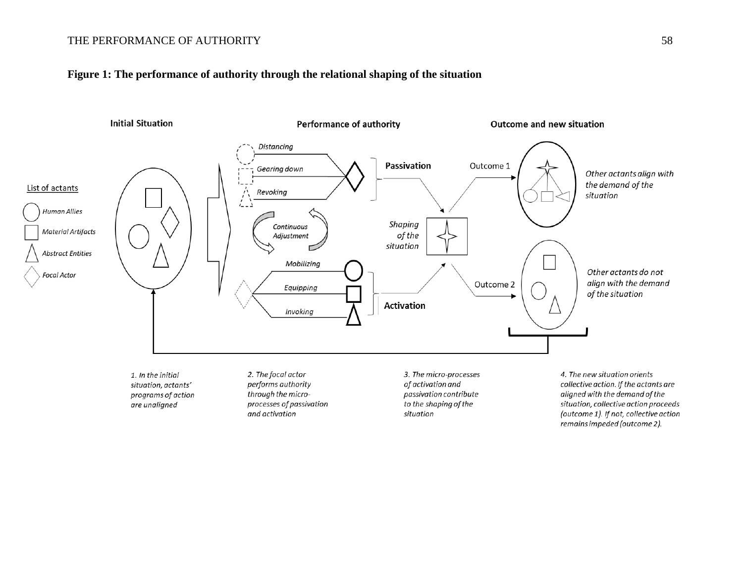## **Figure 1: The performance of authority through the relational shaping of the situation**

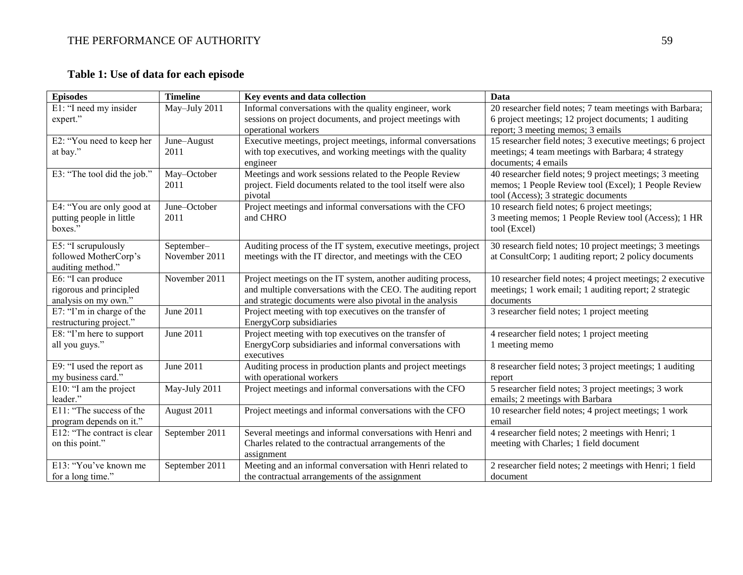# **Table 1: Use of data for each episode**

| <b>Episodes</b>                        | <b>Timeline</b> | Key events and data collection                                 | Data                                                       |
|----------------------------------------|-----------------|----------------------------------------------------------------|------------------------------------------------------------|
| E1: "I need my insider                 | May-July 2011   | Informal conversations with the quality engineer, work         | 20 researcher field notes; 7 team meetings with Barbara;   |
| expert."                               |                 | sessions on project documents, and project meetings with       | 6 project meetings; 12 project documents; 1 auditing       |
|                                        |                 | operational workers                                            | report; 3 meeting memos; 3 emails                          |
| E2: "You need to keep her              | June-August     | Executive meetings, project meetings, informal conversations   | 15 researcher field notes; 3 executive meetings; 6 project |
| at bay."                               | 2011            | with top executives, and working meetings with the quality     | meetings; 4 team meetings with Barbara; 4 strategy         |
|                                        |                 | engineer                                                       | documents; 4 emails                                        |
| E3: "The tool did the job."            | May-October     | Meetings and work sessions related to the People Review        | 40 researcher field notes; 9 project meetings; 3 meeting   |
|                                        | 2011            | project. Field documents related to the tool itself were also  | memos; 1 People Review tool (Excel); 1 People Review       |
|                                        |                 | pivotal                                                        | tool (Access); 3 strategic documents                       |
| E4: "You are only good at              | June-October    | Project meetings and informal conversations with the CFO       | 10 research field notes; 6 project meetings;               |
| putting people in little               | 2011            | and CHRO                                                       | 3 meeting memos; 1 People Review tool (Access); 1 HR       |
| boxes."                                |                 |                                                                | tool (Excel)                                               |
| E5: "I scrupulously                    | September-      | Auditing process of the IT system, executive meetings, project | 30 research field notes; 10 project meetings; 3 meetings   |
| followed MotherCorp's                  | November 2011   | meetings with the IT director, and meetings with the CEO       | at ConsultCorp; 1 auditing report; 2 policy documents      |
| auditing method."                      |                 |                                                                |                                                            |
| E6: "I can produce                     | November 2011   | Project meetings on the IT system, another auditing process,   | 10 researcher field notes; 4 project meetings; 2 executive |
| rigorous and principled                |                 | and multiple conversations with the CEO. The auditing report   | meetings; 1 work email; 1 auditing report; 2 strategic     |
| analysis on my own."                   |                 | and strategic documents were also pivotal in the analysis      | documents                                                  |
| E7: "I'm in charge of the              | June 2011       | Project meeting with top executives on the transfer of         | 3 researcher field notes; 1 project meeting                |
| restructuring project."                |                 | EnergyCorp subsidiaries                                        |                                                            |
| E8: "I'm here to support               | June 2011       | Project meeting with top executives on the transfer of         | 4 researcher field notes; 1 project meeting                |
| all you guys."                         |                 | EnergyCorp subsidiaries and informal conversations with        | 1 meeting memo                                             |
|                                        |                 | executives                                                     |                                                            |
| E9: "I used the report as              | June 2011       | Auditing process in production plants and project meetings     | 8 researcher field notes; 3 project meetings; 1 auditing   |
| my business card."                     |                 | with operational workers                                       | report                                                     |
| E10: "I am the project                 | May-July 2011   | Project meetings and informal conversations with the CFO       | 5 researcher field notes; 3 project meetings; 3 work       |
| leader."                               |                 |                                                                | emails; 2 meetings with Barbara                            |
| $\overline{E11}$ : "The success of the | August 2011     | Project meetings and informal conversations with the CFO       | 10 researcher field notes; 4 project meetings; 1 work      |
| program depends on it."                |                 |                                                                | email                                                      |
| E12: "The contract is clear            | September 2011  | Several meetings and informal conversations with Henri and     | 4 researcher field notes; 2 meetings with Henri; 1         |
| on this point."                        |                 | Charles related to the contractual arrangements of the         | meeting with Charles; 1 field document                     |
|                                        |                 | assignment                                                     |                                                            |
| E13: "You've known me                  | September 2011  | Meeting and an informal conversation with Henri related to     | 2 researcher field notes; 2 meetings with Henri; 1 field   |
| for a long time."                      |                 | the contractual arrangements of the assignment                 | document                                                   |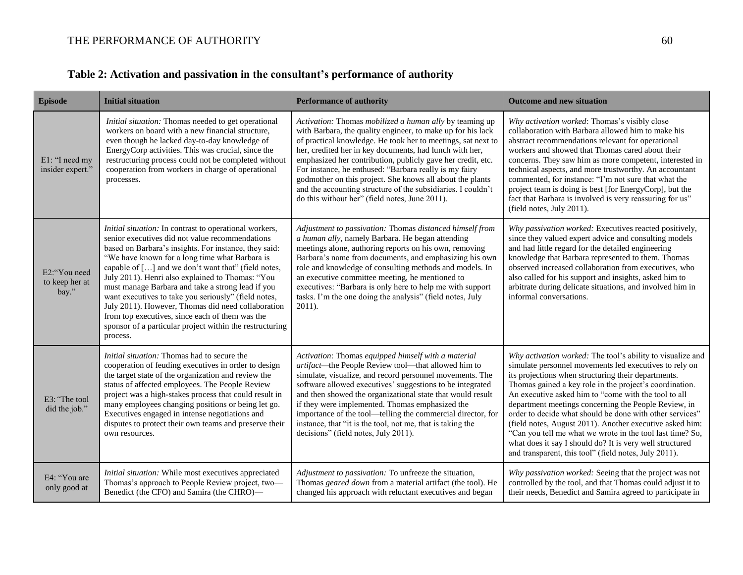# **Table 2: Activation and passivation in the consultant's performance of authority**

| <b>Episode</b>                          | <b>Initial situation</b>                                                                                                                                                                                                                                                                                                                                                                                                                                                                                                                                                                                                             | <b>Performance of authority</b>                                                                                                                                                                                                                                                                                                                                                                                                                                                                                                                           | <b>Outcome and new situation</b>                                                                                                                                                                                                                                                                                                                                                                                                                                                                                                                                                                                                                                 |
|-----------------------------------------|--------------------------------------------------------------------------------------------------------------------------------------------------------------------------------------------------------------------------------------------------------------------------------------------------------------------------------------------------------------------------------------------------------------------------------------------------------------------------------------------------------------------------------------------------------------------------------------------------------------------------------------|-----------------------------------------------------------------------------------------------------------------------------------------------------------------------------------------------------------------------------------------------------------------------------------------------------------------------------------------------------------------------------------------------------------------------------------------------------------------------------------------------------------------------------------------------------------|------------------------------------------------------------------------------------------------------------------------------------------------------------------------------------------------------------------------------------------------------------------------------------------------------------------------------------------------------------------------------------------------------------------------------------------------------------------------------------------------------------------------------------------------------------------------------------------------------------------------------------------------------------------|
| E1: "I need my<br>insider expert."      | Initial situation: Thomas needed to get operational<br>workers on board with a new financial structure,<br>even though he lacked day-to-day knowledge of<br>EnergyCorp activities. This was crucial, since the<br>restructuring process could not be completed without<br>cooperation from workers in charge of operational<br>processes.                                                                                                                                                                                                                                                                                            | Activation: Thomas mobilized a human ally by teaming up<br>with Barbara, the quality engineer, to make up for his lack<br>of practical knowledge. He took her to meetings, sat next to<br>her, credited her in key documents, had lunch with her,<br>emphasized her contribution, publicly gave her credit, etc.<br>For instance, he enthused: "Barbara really is my fairy<br>godmother on this project. She knows all about the plants<br>and the accounting structure of the subsidiaries. I couldn't<br>do this without her" (field notes, June 2011). | Why activation worked: Thomas's visibly close<br>collaboration with Barbara allowed him to make his<br>abstract recommendations relevant for operational<br>workers and showed that Thomas cared about their<br>concerns. They saw him as more competent, interested in<br>technical aspects, and more trustworthy. An accountant<br>commented, for instance: "I'm not sure that what the<br>project team is doing is best [for EnergyCorp], but the<br>fact that Barbara is involved is very reassuring for us"<br>(field notes, July 2011).                                                                                                                    |
| E2:"You need<br>to keep her at<br>bay." | <i>Initial situation:</i> In contrast to operational workers,<br>senior executives did not value recommendations<br>based on Barbara's insights. For instance, they said:<br>"We have known for a long time what Barbara is<br>capable of [] and we don't want that" (field notes,<br>July 2011). Henri also explained to Thomas: "You<br>must manage Barbara and take a strong lead if you<br>want executives to take you seriously" (field notes,<br>July 2011). However, Thomas did need collaboration<br>from top executives, since each of them was the<br>sponsor of a particular project within the restructuring<br>process. | Adjustment to passivation: Thomas distanced himself from<br>a human ally, namely Barbara. He began attending<br>meetings alone, authoring reports on his own, removing<br>Barbara's name from documents, and emphasizing his own<br>role and knowledge of consulting methods and models. In<br>an executive committee meeting, he mentioned to<br>executives: "Barbara is only here to help me with support<br>tasks. I'm the one doing the analysis" (field notes, July<br>$2011$ ).                                                                     | Why passivation worked: Executives reacted positively,<br>since they valued expert advice and consulting models<br>and had little regard for the detailed engineering<br>knowledge that Barbara represented to them. Thomas<br>observed increased collaboration from executives, who<br>also called for his support and insights, asked him to<br>arbitrate during delicate situations, and involved him in<br>informal conversations.                                                                                                                                                                                                                           |
| E3: "The tool<br>did the job."          | Initial situation: Thomas had to secure the<br>cooperation of feuding executives in order to design<br>the target state of the organization and review the<br>status of affected employees. The People Review<br>project was a high-stakes process that could result in<br>many employees changing positions or being let go.<br>Executives engaged in intense negotiations and<br>disputes to protect their own teams and preserve their<br>own resources.                                                                                                                                                                          | Activation: Thomas equipped himself with a material<br>artifact-the People Review tool-that allowed him to<br>simulate, visualize, and record personnel movements. The<br>software allowed executives' suggestions to be integrated<br>and then showed the organizational state that would result<br>if they were implemented. Thomas emphasized the<br>importance of the tool—telling the commercial director, for<br>instance, that "it is the tool, not me, that is taking the<br>decisions" (field notes, July 2011).                                 | Why activation worked: The tool's ability to visualize and<br>simulate personnel movements led executives to rely on<br>its projections when structuring their departments.<br>Thomas gained a key role in the project's coordination.<br>An executive asked him to "come with the tool to all<br>department meetings concerning the People Review, in<br>order to decide what should be done with other services"<br>(field notes, August 2011). Another executive asked him:<br>"Can you tell me what we wrote in the tool last time? So,<br>what does it say I should do? It is very well structured<br>and transparent, this tool" (field notes, July 2011). |
| E4: "You are<br>only good at            | Initial situation: While most executives appreciated<br>Thomas's approach to People Review project, two-<br>Benedict (the CFO) and Samira (the CHRO)-                                                                                                                                                                                                                                                                                                                                                                                                                                                                                | Adjustment to passivation: To unfreeze the situation,<br>Thomas geared down from a material artifact (the tool). He<br>changed his approach with reluctant executives and began                                                                                                                                                                                                                                                                                                                                                                           | Why passivation worked: Seeing that the project was not<br>controlled by the tool, and that Thomas could adjust it to<br>their needs, Benedict and Samira agreed to participate in                                                                                                                                                                                                                                                                                                                                                                                                                                                                               |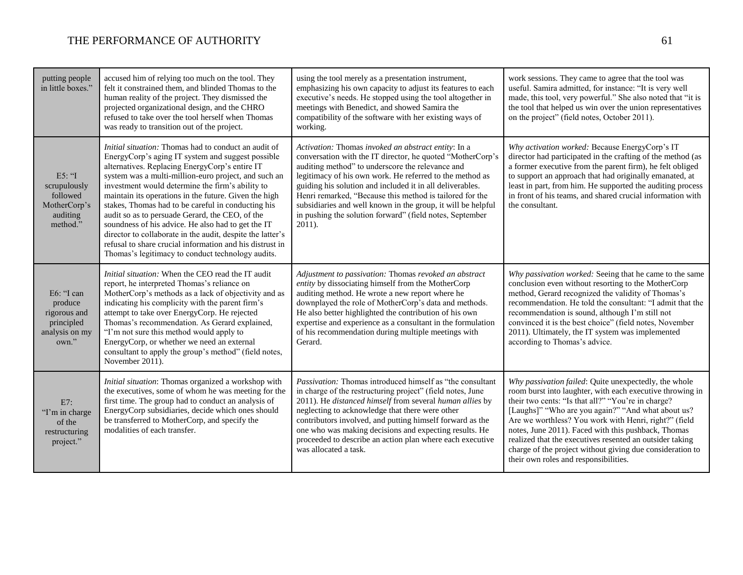| putting people<br>in little boxes."                                               | accused him of relying too much on the tool. They<br>felt it constrained them, and blinded Thomas to the<br>human reality of the project. They dismissed the<br>projected organizational design, and the CHRO<br>refused to take over the tool herself when Thomas<br>was ready to transition out of the project.                                                                                                                                                                                                                                                                                                                                                                     | using the tool merely as a presentation instrument,<br>emphasizing his own capacity to adjust its features to each<br>executive's needs. He stopped using the tool altogether in<br>meetings with Benedict, and showed Samira the<br>compatibility of the software with her existing ways of<br>working.                                                                                                                                                                                            | work sessions. They came to agree that the tool was<br>useful. Samira admitted, for instance: "It is very well<br>made, this tool, very powerful." She also noted that "it is<br>the tool that helped us win over the union representatives<br>on the project" (field notes, October 2011).                                                                                                                                                                                                                      |
|-----------------------------------------------------------------------------------|---------------------------------------------------------------------------------------------------------------------------------------------------------------------------------------------------------------------------------------------------------------------------------------------------------------------------------------------------------------------------------------------------------------------------------------------------------------------------------------------------------------------------------------------------------------------------------------------------------------------------------------------------------------------------------------|-----------------------------------------------------------------------------------------------------------------------------------------------------------------------------------------------------------------------------------------------------------------------------------------------------------------------------------------------------------------------------------------------------------------------------------------------------------------------------------------------------|------------------------------------------------------------------------------------------------------------------------------------------------------------------------------------------------------------------------------------------------------------------------------------------------------------------------------------------------------------------------------------------------------------------------------------------------------------------------------------------------------------------|
| E5: "I<br>scrupulously<br>followed<br>MotherCorp's<br>auditing<br>method."        | <i>Initial situation:</i> Thomas had to conduct an audit of<br>EnergyCorp's aging IT system and suggest possible<br>alternatives. Replacing EnergyCorp's entire IT<br>system was a multi-million-euro project, and such an<br>investment would determine the firm's ability to<br>maintain its operations in the future. Given the high<br>stakes, Thomas had to be careful in conducting his<br>audit so as to persuade Gerard, the CEO, of the<br>soundness of his advice. He also had to get the IT<br>director to collaborate in the audit, despite the latter's<br>refusal to share crucial information and his distrust in<br>Thomas's legitimacy to conduct technology audits. | Activation: Thomas invoked an abstract entity: In a<br>conversation with the IT director, he quoted "MotherCorp's<br>auditing method" to underscore the relevance and<br>legitimacy of his own work. He referred to the method as<br>guiding his solution and included it in all deliverables.<br>Henri remarked, "Because this method is tailored for the<br>subsidiaries and well known in the group, it will be helpful<br>in pushing the solution forward" (field notes, September<br>$2011$ ). | Why activation worked: Because EnergyCorp's IT<br>director had participated in the crafting of the method (as<br>a former executive from the parent firm), he felt obliged<br>to support an approach that had originally emanated, at<br>least in part, from him. He supported the auditing process<br>in front of his teams, and shared crucial information with<br>the consultant.                                                                                                                             |
| $E6$ : "I can<br>produce<br>rigorous and<br>principled<br>analysis on my<br>own." | <i>Initial situation:</i> When the CEO read the IT audit<br>report, he interpreted Thomas's reliance on<br>MotherCorp's methods as a lack of objectivity and as<br>indicating his complicity with the parent firm's<br>attempt to take over EnergyCorp. He rejected<br>Thomas's recommendation. As Gerard explained,<br>"I'm not sure this method would apply to<br>EnergyCorp, or whether we need an external<br>consultant to apply the group's method" (field notes,<br>November 2011).                                                                                                                                                                                            | Adjustment to passivation: Thomas revoked an abstract<br>entity by dissociating himself from the MotherCorp<br>auditing method. He wrote a new report where he<br>downplayed the role of MotherCorp's data and methods.<br>He also better highlighted the contribution of his own<br>expertise and experience as a consultant in the formulation<br>of his recommendation during multiple meetings with<br>Gerard.                                                                                  | Why passivation worked: Seeing that he came to the same<br>conclusion even without resorting to the MotherCorp<br>method, Gerard recognized the validity of Thomas's<br>recommendation. He told the consultant: "I admit that the<br>recommendation is sound, although I'm still not<br>convinced it is the best choice" (field notes, November<br>2011). Ultimately, the IT system was implemented<br>according to Thomas's advice.                                                                             |
| $E7$ :<br>"I'm in charge<br>of the<br>restructuring<br>project."                  | Initial situation: Thomas organized a workshop with<br>the executives, some of whom he was meeting for the<br>first time. The group had to conduct an analysis of<br>EnergyCorp subsidiaries, decide which ones should<br>be transferred to MotherCorp, and specify the<br>modalities of each transfer.                                                                                                                                                                                                                                                                                                                                                                               | <i>Passivation:</i> Thomas introduced himself as "the consultant"<br>in charge of the restructuring project" (field notes, June<br>2011). He distanced himself from several human allies by<br>neglecting to acknowledge that there were other<br>contributors involved, and putting himself forward as the<br>one who was making decisions and expecting results. He<br>proceeded to describe an action plan where each executive<br>was allocated a task.                                         | Why passivation failed: Quite unexpectedly, the whole<br>room burst into laughter, with each executive throwing in<br>their two cents: "Is that all?" "You're in charge?<br>[Laughs]" "Who are you again?" "And what about us?<br>Are we worthless? You work with Henri, right?" (field<br>notes, June 2011). Faced with this pushback, Thomas<br>realized that the executives resented an outsider taking<br>charge of the project without giving due consideration to<br>their own roles and responsibilities. |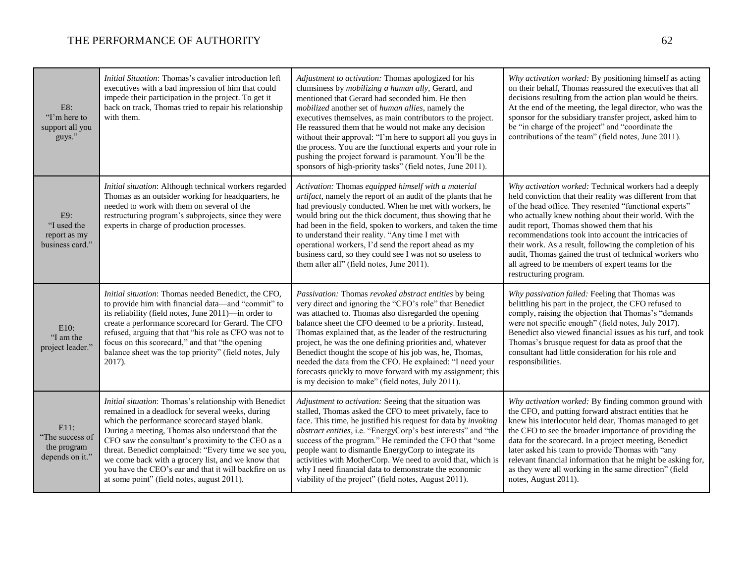E8: "I'm here to support all you guys."

| Initial Situation: Thomas's cavalier introduction left<br>executives with a bad impression of him that could<br>impede their participation in the project. To get it<br>back on track, Thomas tried to repair his relationship<br>with them.                     | <i>Adjustment to activation:</i> Thomas apologized for his<br>clumsiness by <i>mobilizing</i> a human ally, Gerard, and<br>mentioned that Gerard had seconded him. He then<br><i>mobilized</i> another set of <i>human allies</i> , namely the<br>executives themselves, as main contributors to the project.<br>He reassured them that he would not make any decision<br>without their approval: "I'm here to support all you guys in<br>the process. You are the functional experts and your role in<br>pushing the project forward is paramount. You'll be the<br>sponsors of high-priority tasks" (field notes, June 2011). | Why activation worked. By positioning himself as acting<br>on their behalf, Thomas reassured the executives that all<br>decisions resulting from the action plan would be theirs.<br>At the end of the meeting, the legal director, who was the<br>sponsor for the subsidiary transfer project, asked him to<br>be "in charge of the project" and "coordinate the<br>contributions of the team" (field notes, June 2011).                                                                                                                       |
|------------------------------------------------------------------------------------------------------------------------------------------------------------------------------------------------------------------------------------------------------------------|---------------------------------------------------------------------------------------------------------------------------------------------------------------------------------------------------------------------------------------------------------------------------------------------------------------------------------------------------------------------------------------------------------------------------------------------------------------------------------------------------------------------------------------------------------------------------------------------------------------------------------|-------------------------------------------------------------------------------------------------------------------------------------------------------------------------------------------------------------------------------------------------------------------------------------------------------------------------------------------------------------------------------------------------------------------------------------------------------------------------------------------------------------------------------------------------|
| Initial situation: Although technical workers regarded<br>Thomas as an outsider working for headquarters, he<br>needed to work with them on several of the<br>restructuring program's subprojects, since they were<br>experts in charge of production processes. | Activation: Thomas equipped himself with a material<br><i>artifact</i> , namely the report of an audit of the plants that he<br>had previously conducted. When he met with workers, he<br>would bring out the thick document, thus showing that he<br>had been in the field, spoken to workers, and taken the time<br>to understand their reality. "Any time I met with<br>operational workers, I'd send the report ahead as my<br>business card, so they could see I was not so useless to<br>them after all" (field notes, June 2011).                                                                                        | Why activation worked: Technical workers had a deeply<br>held conviction that their reality was different from that<br>of the head office. They resented "functional experts"<br>who actually knew nothing about their world. With the<br>audit report, Thomas showed them that his<br>recommendations took into account the intricacies of<br>their work. As a result, following the completion of his<br>audit. Thomas gained the trust of technical workers who<br>all agreed to be members of expert teams for the<br>rectructuring program |

| E9:<br>"I used the<br>report as my<br>business card."        | Thomas as an outsider working for headquarters, he<br>needed to work with them on several of the<br>restructuring program's subprojects, since they were<br>experts in charge of production processes.                                                                                                                                                                                                                                                                                       | <i>artifact</i> , namely the report of an audit of the plants that he<br>had previously conducted. When he met with workers, he<br>would bring out the thick document, thus showing that he<br>had been in the field, spoken to workers, and taken the time<br>to understand their reality. "Any time I met with<br>operational workers, I'd send the report ahead as my<br>business card, so they could see I was not so useless to<br>them after all" (field notes, June 2011).                                                                                                                       | held conviction that their reality was different from that<br>of the head office. They resented "functional experts"<br>who actually knew nothing about their world. With the<br>audit report, Thomas showed them that his<br>recommendations took into account the intricacies of<br>their work. As a result, following the completion of his<br>audit, Thomas gained the trust of technical workers who<br>all agreed to be members of expert teams for the<br>restructuring program.           |
|--------------------------------------------------------------|----------------------------------------------------------------------------------------------------------------------------------------------------------------------------------------------------------------------------------------------------------------------------------------------------------------------------------------------------------------------------------------------------------------------------------------------------------------------------------------------|---------------------------------------------------------------------------------------------------------------------------------------------------------------------------------------------------------------------------------------------------------------------------------------------------------------------------------------------------------------------------------------------------------------------------------------------------------------------------------------------------------------------------------------------------------------------------------------------------------|---------------------------------------------------------------------------------------------------------------------------------------------------------------------------------------------------------------------------------------------------------------------------------------------------------------------------------------------------------------------------------------------------------------------------------------------------------------------------------------------------|
| E10:<br>"I am the<br>project leader."                        | <i>Initial situation:</i> Thomas needed Benedict, the CFO,<br>to provide him with financial data-and "commit" to<br>its reliability (field notes, June 2011)—in order to<br>create a performance scorecard for Gerard. The CFO<br>refused, arguing that that "his role as CFO was not to<br>focus on this scorecard," and that "the opening<br>balance sheet was the top priority" (field notes, July<br>2017).                                                                              | Passivation: Thomas revoked abstract entities by being<br>very direct and ignoring the "CFO's role" that Benedict<br>was attached to. Thomas also disregarded the opening<br>balance sheet the CFO deemed to be a priority. Instead,<br>Thomas explained that, as the leader of the restructuring<br>project, he was the one defining priorities and, whatever<br>Benedict thought the scope of his job was, he, Thomas,<br>needed the data from the CFO. He explained: "I need your<br>forecasts quickly to move forward with my assignment; this<br>is my decision to make" (field notes, July 2011). | Why passivation failed: Feeling that Thomas was<br>belittling his part in the project, the CFO refused to<br>comply, raising the objection that Thomas's "demands<br>were not specific enough" (field notes, July 2017).<br>Benedict also viewed financial issues as his turf, and took<br>Thomas's brusque request for data as proof that the<br>consultant had little consideration for his role and<br>responsibilities.                                                                       |
| $E11$ :<br>"The success of<br>the program<br>depends on it." | Initial situation: Thomas's relationship with Benedict<br>remained in a deadlock for several weeks, during<br>which the performance scorecard stayed blank.<br>During a meeting, Thomas also understood that the<br>CFO saw the consultant's proximity to the CEO as a<br>threat. Benedict complained: "Every time we see you,<br>we come back with a grocery list, and we know that<br>you have the CEO's ear and that it will backfire on us<br>at some point" (field notes, august 2011). | Adjustment to activation: Seeing that the situation was<br>stalled, Thomas asked the CFO to meet privately, face to<br>face. This time, he justified his request for data by <i>invoking</i><br>abstract entities, i.e. "EnergyCorp's best interests" and "the<br>success of the program." He reminded the CFO that "some<br>people want to dismantle EnergyCorp to integrate its<br>activities with MotherCorp. We need to avoid that, which is<br>why I need financial data to demonstrate the economic<br>viability of the project" (field notes, August 2011).                                      | Why activation worked: By finding common ground with<br>the CFO, and putting forward abstract entities that he<br>knew his interlocutor held dear, Thomas managed to get<br>the CFO to see the broader importance of providing the<br>data for the scorecard. In a project meeting, Benedict<br>later asked his team to provide Thomas with "any<br>relevant financial information that he might be asking for,<br>as they were all working in the same direction" (field<br>notes, August 2011). |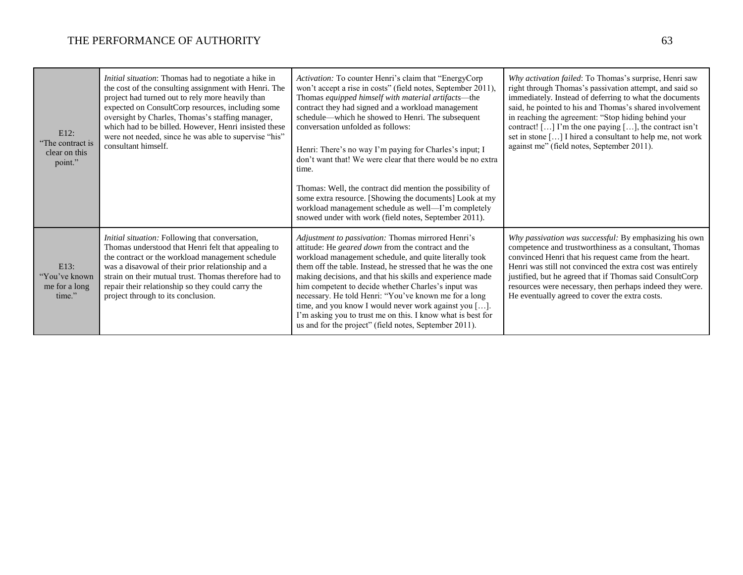| E12:<br>"The contract is<br>clear on this<br>point." | <i>Initial situation:</i> Thomas had to negotiate a hike in<br>the cost of the consulting assignment with Henri. The<br>project had turned out to rely more heavily than<br>expected on ConsultCorp resources, including some<br>oversight by Charles, Thomas's staffing manager,<br>which had to be billed. However, Henri insisted these<br>were not needed, since he was able to supervise "his"<br>consultant himself. | <i>Activation:</i> To counter Henri's claim that "EnergyCorp"<br>won't accept a rise in costs" (field notes, September 2011),<br>Thomas equipped himself with material artifacts-the<br>contract they had signed and a workload management<br>schedule—which he showed to Henri. The subsequent<br>conversation unfolded as follows:<br>Henri: There's no way I'm paying for Charles's input; I<br>don't want that! We were clear that there would be no extra<br>time.<br>Thomas: Well, the contract did mention the possibility of<br>some extra resource. [Showing the documents] Look at my<br>workload management schedule as well-I'm completely<br>snowed under with work (field notes, September 2011). | Why activation failed: To Thomas's surprise, Henri saw<br>right through Thomas's passivation attempt, and said so<br>immediately. Instead of deferring to what the documents<br>said, he pointed to his and Thomas's shared involvement<br>in reaching the agreement: "Stop hiding behind your<br>contract! [] I'm the one paying [], the contract isn't<br>set in stone [] I hired a consultant to help me, not work<br>against me" (field notes, September 2011). |
|------------------------------------------------------|----------------------------------------------------------------------------------------------------------------------------------------------------------------------------------------------------------------------------------------------------------------------------------------------------------------------------------------------------------------------------------------------------------------------------|-----------------------------------------------------------------------------------------------------------------------------------------------------------------------------------------------------------------------------------------------------------------------------------------------------------------------------------------------------------------------------------------------------------------------------------------------------------------------------------------------------------------------------------------------------------------------------------------------------------------------------------------------------------------------------------------------------------------|---------------------------------------------------------------------------------------------------------------------------------------------------------------------------------------------------------------------------------------------------------------------------------------------------------------------------------------------------------------------------------------------------------------------------------------------------------------------|
| E13:<br>"You've known"<br>me for a long<br>time."    | Initial situation: Following that conversation,<br>Thomas understood that Henri felt that appealing to<br>the contract or the workload management schedule<br>was a disavowal of their prior relationship and a<br>strain on their mutual trust. Thomas therefore had to<br>repair their relationship so they could carry the<br>project through to its conclusion.                                                        | Adjustment to passivation: Thomas mirrored Henri's<br>attitude: He geared down from the contract and the<br>workload management schedule, and quite literally took<br>them off the table. Instead, he stressed that he was the one<br>making decisions, and that his skills and experience made<br>him competent to decide whether Charles's input was<br>necessary. He told Henri: "You've known me for a long<br>time, and you know I would never work against you [].<br>I'm asking you to trust me on this. I know what is best for<br>us and for the project" (field notes, September 2011).                                                                                                               | Why passivation was successful: By emphasizing his own<br>competence and trustworthiness as a consultant, Thomas<br>convinced Henri that his request came from the heart.<br>Henri was still not convinced the extra cost was entirely<br>justified, but he agreed that if Thomas said ConsultCorp<br>resources were necessary, then perhaps indeed they were.<br>He eventually agreed to cover the extra costs.                                                    |